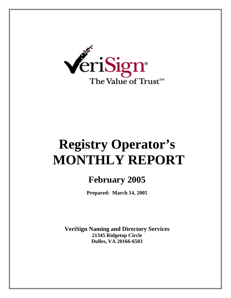

# **Registry Operator's MONTHLY REPORT**

# **February 2005**

**Prepared: March 14, 2005** 

**VeriSign Naming and Directory Services 21345 Ridgetop Circle Dulles, VA 20166-6503**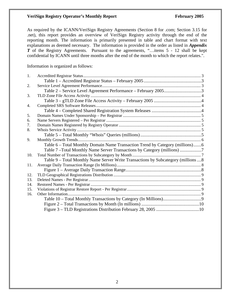#### **VeriSign Registry Operator's Monthly Report February 2005**

As required by the ICANN/VeriSign Registry Agreements (Section 8 for .com; Section 3.15 for .net), this report provides an overview of VeriSign Registry activity through the end of the reporting month. The information is primarily presented in table and chart format with text explanations as deemed necessary. The information is provided in the order as listed in *Appendix T* of the Registry Agreements. Pursuant to the agreements, "...items 5 - 12 shall be kept confidential by ICANN until three months after the end of the month to which the report relates.".

Information is organized as follows:

| 1.  |                                                                                     |  |
|-----|-------------------------------------------------------------------------------------|--|
|     |                                                                                     |  |
| 2.  |                                                                                     |  |
|     | Table 2 – Service Level Agreement Performance – February 20053                      |  |
| 3.  |                                                                                     |  |
|     |                                                                                     |  |
| 4.  |                                                                                     |  |
|     |                                                                                     |  |
| 5.  |                                                                                     |  |
| 6.  |                                                                                     |  |
| 7.  |                                                                                     |  |
| 8.  |                                                                                     |  |
|     |                                                                                     |  |
| 9.  |                                                                                     |  |
|     | Table 6 – Total Monthly Domain Name Transaction Trend by Category (millions)6       |  |
|     | Table 7-Total Monthly Name Server Transactions by Category (millions)               |  |
| 10. |                                                                                     |  |
|     | Table 9 – Total Monthly Name Server Write Transactions by Subcategory (millions  8) |  |
| 11. |                                                                                     |  |
|     |                                                                                     |  |
| 12. |                                                                                     |  |
| 13. |                                                                                     |  |
| 14. |                                                                                     |  |
| 15. |                                                                                     |  |
| 16. |                                                                                     |  |
|     |                                                                                     |  |
|     |                                                                                     |  |
|     |                                                                                     |  |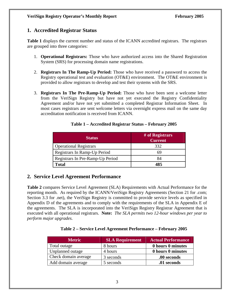# **1. Accredited Registrar Status**

**Table 1** displays the current number and status of the ICANN accredited registrars. The registrars are grouped into three categories:

- 1. **Operational Registrars:** Those who have authorized access into the Shared Registration System (SRS) for processing domain name registrations.
- 2. **Registrars In The Ramp-Up Period:** Those who have received a password to access the Registry operational test and evaluation (OT&E) environment. The OT&E environment is provided to allow registrars to develop and test their systems with the SRS.
- 3. **Registrars In The Pre-Ramp-Up Period:** Those who have been sent a welcome letter from the VeriSign Registry but have not yet executed the Registry Confidentiality Agreement and/or have not yet submitted a completed Registrar Information Sheet. In most cases registrars are sent welcome letters via overnight express mail on the same day accreditation notification is received from ICANN.

| <b>Status</b>                    | # of Registrars<br><b>Current</b> |
|----------------------------------|-----------------------------------|
| <b>Operational Registrars</b>    | 332                               |
| Registrars In Ramp-Up Period     | 69                                |
| Registrars In Pre-Ramp-Up Period | 84                                |
| <b>Total</b>                     | 485                               |

#### **Table 1 – Accredited Registrar Status – February 2005**

# **2. Service Level Agreement Performance**

**Table 2** compares Service Level Agreement (SLA) Requirements with Actual Performance for the reporting month. As required by the ICANN/VeriSign Registry Agreements (Section 21 for .com; Section 3.3 for .net), the VeriSign Registry is committed to provide service levels as specified in Appendix D of the agreements and to comply with the requirements of the SLA in Appendix E of the agreements. The SLA is incorporated into the VeriSign Registry Registrar Agreement that is executed with all operational registrars. **Note:** *The SLA permits two 12-hour windows per year to perform major upgrades.* 

#### **Table 2 – Service Level Agreement Performance – February 2005**

| <b>Metric</b>        | <b>SLA Requirement</b> | <b>Actual Performance</b> |
|----------------------|------------------------|---------------------------|
| Total outage         | 8 hours                | 0 hours 0 minutes         |
| Unplanned outage     | 4 hours                | 0 hours 0 minutes         |
| Check domain average | 3 seconds              | .00 seconds               |
| Add domain average   | 5 seconds              | .01 seconds               |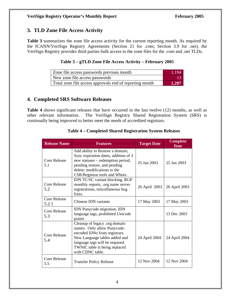# **3. TLD Zone File Access Activity**

**Table 3** summarizes the zone file access activity for the current reporting month. As required by the ICANN/VeriSign Registry Agreements (Section 21 for .com; Section 3.9 for .net), the VeriSign Registry provides third parties bulk access to the zone files for the .com and .net TLDs.

#### **Table 3 – gTLD Zone File Access Activity – February 2005**

| Zone file access passwords previous month               | 1.194 |
|---------------------------------------------------------|-------|
| New zone file access passwords                          |       |
| Total zone file access approvals end of reporting month | 1.207 |

# **4. Completed SRS Software Releases**

**Table 4** shows significant releases that have occurred in the last twelve (12) months, as well as other relevant information. The VeriSign Registry Shared Registration System (SRS) is continually being improved to better meet the needs of accredited registrars.

| <b>Release Name</b>          | <b>Features</b>                                                                                                                                                                                                        | <b>Target Date</b> | <b>Complete</b><br><b>Date</b> |
|------------------------------|------------------------------------------------------------------------------------------------------------------------------------------------------------------------------------------------------------------------|--------------------|--------------------------------|
| <b>Core Release</b><br>5.1   | Add ability to Restore a domain;<br>Sync expiration dates; addition of 3<br>new statuses – redemption period,<br>pending restore, and pending<br>delete; modifications to the<br>CSR/Registrar tools and Whois.        | 25 Jan 2003        | 25 Jan 2003                    |
| <b>Core Release</b><br>5.2   | IDN TC/SC variant blocking, RGP<br>monthly reports, .org name server<br>registrations, miscellaneous bug<br>fixes.                                                                                                     | 26 April 2003      | 26 April 2003                  |
| <b>Core Release</b><br>5.2.1 | Chinese IDN variants                                                                                                                                                                                                   | 17 May 2003        | 17 May 2003                    |
| <b>Core Release</b><br>5.3   | IDN Punycode migration, IDN<br>language tags, prohibited Unicode<br>points                                                                                                                                             |                    | 13 Dec 2003                    |
| Core Release<br>5.4          | Cleanup of legacy .org domain<br>names. Only allow Punycode-<br>encoded IDNs from registrars.<br>New Language tables added and<br>language tags will be required.<br>TWNIC table is being replaced<br>with CDNC table. | 24 April 2004      | 24 April 2004                  |
| <b>Core Release</b><br>5.5   | <b>Transfer Policy Release</b>                                                                                                                                                                                         | 12 Nov 2004        | 12 Nov 2004                    |

#### **Table 4 – Completed Shared Registration System Releases**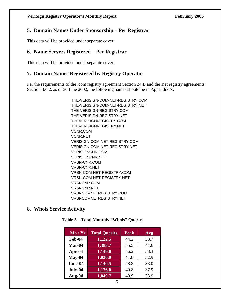# **5. Domain Names Under Sponsorship – Per Registrar**

This data will be provided under separate cover.

# **6. Name Servers Registered – Per Registrar**

This data will be provided under separate cover.

# **7. Domain Names Registered by Registry Operator**

Per the requirements of the .com registry agreement Section 24.B and the .net registry agreements Section 3.6.2, as of 30 June 2002, the following names should be in Appendix X:

> THE-VERISIGN-COM-NET-REGISTRY.COM THE-VERISIGN-COM-NET-REGISTRY.NET THE-VERISIGN-REGISTRY.COM THE-VERISIGN-REGISTRY.NET THEVERISIGNREGISTRY.COM THEVERISIGNREGISTRY.NET VCNR.COM VCNR.NET VERISIGN-COM-NET-REGISTRY.COM VERISIGN-COM-NET-REGISTRY.NET VERISIGNCNR.COM VERISIGNCNR.NET VRSN-CNR.COM VRSN-CNR.NET VRSN-COM-NET-REGISTRY.COM VRSN-COM-NET-REGISTRY.NET VRSNCNR.COM VRSNCNR.NET VRSNCOMNETREGISTRY.COM VRSNCOMNETREGISTRY.NET

## **8. Whois Service Activity**

| Mo/Yr     | <b>Total Queries</b> | <b>Peak</b> | Avg  |
|-----------|----------------------|-------------|------|
| Feb-04    | 1,122.5              | 44.2        | 38.7 |
| Mar-04    | 1,383.7              | 55.5        | 44.6 |
| Apr- $04$ | 1,149.0              | 56.2        | 38.3 |
| $May-04$  | 1,020.0              | 41.8        | 32.9 |
| June-04   | 1,140.5              | 48.8        | 38.0 |
| July-04   | 1,176.0              | 49.8        | 37.9 |
| Aug-04    | 1,049.7              | 40.9        | 33.9 |

#### **Table 5 – Total Monthly "Whois" Queries**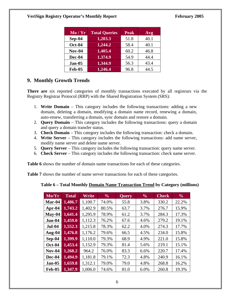| Mo/Yr         | <b>Total Queries</b> | <b>Peak</b> | Avg  |
|---------------|----------------------|-------------|------|
| Sep-04        | 1,203.3              | 51.8        | 40.1 |
| <b>Oct-04</b> | 1,244.2              | 58.4        | 40.1 |
| <b>Nov-04</b> | 1,405.4              | 60.2        | 46.8 |
| Dec-04        | 1,374.9              | 54.9        | 44.4 |
| $Jan-05$      | 1,344.9              | 56.3        | 43.4 |
| <b>Feb-05</b> | 1,246.4              | 96.8        | 44.5 |

# **9. Monthly Growth Trends**

**There are** six reported categories of monthly transactions executed by all registrars via the Registry Registrar Protocol (RRP) with the Shared Registration System (SRS):

- 1. **Write Domain**  This category includes the following transactions: adding a new domain, deleting a domain, modifying a domain name record, renewing a domain, auto-renew, transferring a domain, sync domain and restore a domain.
- 2. **Query Domain** This category includes the following transactions: query a domain and query a domain transfer status.
- 3. **Check Domain** This category includes the following transaction: check a domain.
- 4. **Write Server** This category includes the following transactions: add name server, modify name server and delete name server.
- 5. **Query Server** This category includes the following transaction: query name server.
- 6. **Check Server**  This category includes the following transaction: check name server.

**Table 6** shows the number of domain name transactions for each of these categories.

**Table 7** shows the number of name server transactions for each of these categories.

| Mo/Yr         | <b>Total</b> | Write   | $\frac{6}{9}$ | <b>Query</b> | $\frac{6}{6}$ | <b>Check</b> | $\frac{0}{0}$ |
|---------------|--------------|---------|---------------|--------------|---------------|--------------|---------------|
| Mar-04        | 1,486.7      | 1,100.7 | 74.0%         | 55.8         | 3.8%          | 330.2        | 22.2%         |
| Apr-04        | 1,743.2      | 1,402.9 | 80.5%         | 63.7         | 3.7%          | 276.7        | 15.9%         |
| $May-04$      | 1,641.4      | 1,295.9 | 78.9%         | 61.2         | 3.7%          | 284.3        | 17.3%         |
| Jun-04        | 1,459.0      | 1,112.3 | 76.2%         | 67.6         | 4.6%          | 279.2        | 19.1%         |
| <b>Jul-04</b> | 1,552.3      | 1,215.8 | 78.3%         | 62.2         | 4.0%          | 274.3        | 17.7%         |
| Aug- $04$     | 1,476.8      | 1,176.2 | 79.6%         | 66.5         | 4.5%          | 234.0        | 15.8%         |
| $Sep-04$      | 1,399.9      | 1,110.0 | 79.3%         | 68.9         | 4.9%          | 221.0        | 15.8%         |
| <b>Oct-04</b> | 1,453.4      | 1,152.9 | 79.3%         | 81.4         | 5.6%          | 219.1        | 15.1%         |
| <b>Nov-04</b> | 1,268.2      | 964.2   | 76.0%         | 83.3         | 6.6%          | 220.7        | 17.4%         |
| Dec-04        | 1,494.9      | 1,181.8 | 79.1%         | 72.3         | 4.8%          | 240.9        | 16.1%         |
| $Jan-05$      | 1,659.8      | 1,312.1 | 79.0%         | 79.0         | 4.8%          | 268.8        | 16.2%         |
| <b>Feb-05</b> | 1,347.9      | 1.006.0 | 74.6%         | 81.0         | 6.0%          | 260.8        | 19.3%         |

**Table 6 – Total Monthly Domain Name Transaction Trend by Category (millions)**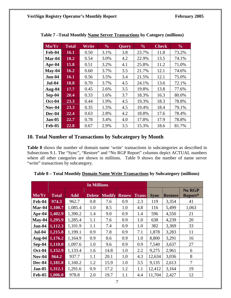| Mo/Yr         | <b>Total</b> | Write | $\frac{0}{0}$ | <b>Query</b> | $\frac{0}{0}$ | <b>Check</b> | $\frac{6}{10}$ |
|---------------|--------------|-------|---------------|--------------|---------------|--------------|----------------|
| Feb-04        | 16.1         | 0.50  | 3.1%          | 3.8          | 23.7%         | 11.8         | 73.2%          |
| Mar-04        | 18.2         | 0.54  | 3.0%          | 4.2          | 22.9%         | 13.5         | 74.1%          |
| Apr- $04$     | 15.8         | 0.51  | 3.2%          | 4.1          | 25.8%         | 11.2         | 71.0%          |
| $Mav-04$      | 16.2         | 0.60  | 3.7%          | 3.5          | 21.7%         | 12.1         | 74.6%          |
| <b>Jun-04</b> | <b>16.1</b>  | 0.56  | 3.5%          | 3.4          | 21.5%         | 12.1         | 75.0%          |
| <b>Jul-04</b> | 18.8         | 0.70  | 3.7%          | 4.5          | 24.1%         | 13.6         | 72.1%          |
| Aug-04        | 17.7         | 0.45  | 2.6%          | 3.5          | 19.8%         | 13.8         | 77.6%          |
| $Sep-04$      | 20.4         | 0.33  | 1.6%          | 3.7          | 18.3%         | 16.3         | 80.0%          |
| <b>Oct-04</b> | 23.3         | 0.44  | 1.9%          | 4.5          | 19.3%         | 18.3         | 78.8%          |
| $Nov-04$      | 23.3         | 0.35  | 1.5%          | 4.5          | 19.4%         | 18.4         | 79.1%          |
| Dec-04        | 22.4         | 0.63  | 2.8%          | 4.2          | 18.8%         | 17.6         | 78.4%          |
| $Jan-05$      | 22.7         | 0.78  | 3.4%          | 4.0          | 17.8%         | 17.9         | 78.8%          |
| <b>Feb-05</b> | 22.8         | 0.67  | 2.9%          | 3.5          | 15.3%         | 18.6         | 81.7%          |

**Table 7 –Total Monthly Name Server Transactions by Category (millions)** 

## **10. Total Number of Transactions by Subcategory by Month**

**Table 8** shows the number of domain name 'write' transactions in subcategories as described in Subsections 9.1. The "Sync", "Restore" and "No RGP Report" columns depict ACTUAL numbers where all other categories are shown in millions. Table 9 shows the number of name server "write" transactions by subcategory.

|                |                |            | <b>In Millions</b> |               |              |              |             |                |         |
|----------------|----------------|------------|--------------------|---------------|--------------|--------------|-------------|----------------|---------|
|                |                |            |                    |               |              |              |             |                | No RGP  |
| Mo/Yr          | <b>Total</b>   | <b>Add</b> | <b>Delete</b>      | <b>Modify</b> | <b>Renew</b> | <b>Trans</b> | <b>Sync</b> | <b>Restore</b> | Report* |
| Feb-04         | 974.3          | 962.7      | 0.8                | 7.6           | 0.9          | 2.3          | 119         | 3,354          | 41      |
| Mar-04         | 1,100.7        | 1,085.4    | 1.0                | 8.5           | 1.0          | 4.8          | 116         | 5,499          | 1,063   |
|                | Apr-04 1,402.9 | 1,390.2    | 1.4                | 9.0           | 0.9          | 1.4          | 596         | 4,550          | 21      |
| May-04 1,295.9 |                | 1,285.4    | 1.1                | 7.6           | 0.9          | 1.0          | 638         | 4,239          | 20      |
| <b>Jun-04</b>  | 1,112.3        | 1,101.9    | 1.1                | 7.4           | 0.9          | 1.0          | 382         | 3,369          | 33      |
| <b>Jul-04</b>  | 1,215.8        | 1,199.1    | 0.9                | 7.8           | 0.9          | 7.1          | 1,878       | 3,283          | 11      |
| Aug-04         | 1,176.2        | 1,164.9    | 0.9                | 8.6           | 0.9          | 1.0          | 8,800       | 3,291          | 16      |
| $Sep-04$       | 1,110.0        | 1,097.6    | 1.0                | 9.6           | 0.9          | 0.9          | 7,540       | 3,637          | 27      |
| <b>Oct-04</b>  | 1,152.9        | 1,133.4    | 1.6                | 14.8          | 1.0          | 2.2          | 9,275       | 2,961          | 6       |
| <b>Nov-04</b>  | 964.2          | 937.7      | 1.1                | 20.1          | 1.0          | 4.3          | 12,634      | 3,036          | 8       |
| Dec-04         | 1,181.8        | 1,160.2    | 1.2                | 15.9          | 1.0          | 3.5          | 9,135       | 2,613          | 7       |
| <b>Jan-05</b>  | 1,312.1        | 1,291.6    | 0.9                | 17.2          | 1.2          | 1.1          | 12,412      | 3,164          | 19      |
| <b>Feb-05</b>  | 1,006.0        | 978.8      | 2.0                | 19.7          | 1.1          | 4.4          | 11,704      | 2,427          | 12      |

**Table 8 – Total Monthly Domain Name Write Transactions by Subcategory (millions)**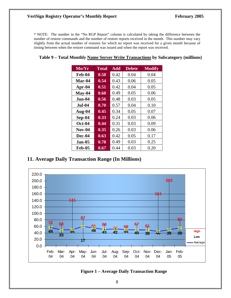#### **VeriSign Registry Operator's Monthly Report February 2005**

\* NOTE: The number in the "No RGP Report" column is calculated by taking the difference between the number of restore commands and the number of restore reports received in the month. This number may vary slightly from the actual number of restores for which no report was received for a given month because of timing between when the restore command was issued and when the report was received.

| Mo/Yr         | <b>Total</b> | <b>Add</b> | <b>Delete</b> | <b>Modify</b> |
|---------------|--------------|------------|---------------|---------------|
| Feb-04        | 0.50         | 0.42       | 0.04          | 0.04          |
| Mar-04        | 0.54         | 0.43       | 0.06          | 0.05          |
| Apr-04        | 0.51         | 0.42       | 0.04          | 0.05          |
| $May-04$      | 0.60         | 0.49       | 0.05          | 0.06          |
| .Jun-04       | 0.56         | 0.48       | 0.03          | 0.05          |
| <b>Jul-04</b> | 0.70         | 0.57       | 0.04          | 0.10          |
| Aug-04        | 0.45         | 0.34       | 0.05          | 0.07          |
| Sep-04        | 0.33         | 0.24       | 0.03          | 0.06          |
| <b>Oct-04</b> | 0.44         | 0.31       | 0.03          | 0.09          |
| <b>Nov-04</b> | 0.35         | 0.26       | 0.03          | 0.06          |
| Dec-04        | 0.63         | 0.42       | 0.05          | 0.17          |
| <b>Jan-05</b> | 0.78         | 0.49       | 0.03          | 0.25          |
| Feb-05        | 0.67         | 0.44       | 0.03          | 0.20          |

# **Table 9 – Total Monthly Name Server Write Transactions by Subcategory (millions)**

# **11. Average Daily Transaction Range (In Millions)**



#### **Figure 1 – Average Daily Transaction Range**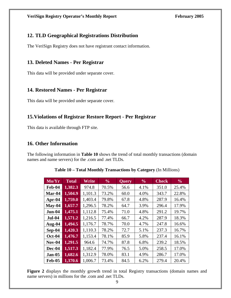# **12. TLD Geographical Registrations Distribution**

The VeriSign Registry does not have registrant contact information.

# **13. Deleted Names - Per Registrar**

This data will be provided under separate cover.

# **14. Restored Names - Per Registrar**

This data will be provided under separate cover.

# **15.Violations of Registrar Restore Report - Per Registrar**

This data is available through FTP site.

# **16. Other Information**

The following information in **Table 10** shows the trend of total monthly transactions (domain names and name servers) for the .com and .net TLDs.

| Mo/Yr         | <b>Total</b> | Write   | $\frac{6}{6}$ | <b>Query</b> | $\frac{0}{0}$ | <b>Check</b> | $\frac{0}{0}$ |
|---------------|--------------|---------|---------------|--------------|---------------|--------------|---------------|
| Feb-04        | 1,382.3      | 974.8   | 70.5%         | 56.6         | 4.1%          | 351.0        | 25.4%         |
| Mar-04        | 1,504.9      | 1,101.3 | 73.2%         | 60.0         | 4.0%          | 343.7        | 22.8%         |
| Apr- $04$     | 1,759.0      | 1,403.4 | 79.8%         | 67.8         | 4.8%          | 287.9        | 16.4%         |
| $May-04$      | 1,657.7      | 1,296.5 | 78.2%         | 64.7         | 3.9%          | 296.4        | 17.9%         |
| <b>Jun-04</b> | 1,475.1      | 1,112.8 | 75.4%         | 71.0         | 4.8%          | 291.2        | 19.7%         |
| <b>Jul-04</b> | 1,571.2      | 1,216.5 | 77.4%         | 66.7         | 4.2%          | 287.9        | 18.3%         |
| Aug-04        | 1,494.5      | 1,176.7 | 78.7%         | 70.0         | 4.7%          | 247.8        | 16.6%         |
| $Sep-04$      | 1,420.3      | 1,110.3 | 78.2%         | 72.7         | 5.1%          | 237.3        | 16.7%         |
| <b>Oct-04</b> | 1,476.7      | 1,153.4 | 78.1%         | 85.9         | 5.8%          | 237.4        | 16.1%         |
| $Nov-04$      | 1,291.5      | 964.6   | 74.7%         | 87.8         | 6.8%          | 239.2        | 18.5%         |
| Dec-04        | 1,517.3      | 1,182.4 | 77.9%         | 76.5         | 5.0%          | 258.5        | 17.0%         |
| $Jan-05$      | 1,682.6      | 1,312.9 | 78.0%         | 83.1         | 4.9%          | 286.7        | 17.0%         |
| <b>Feb-05</b> | 1,370.6      | 1,006.7 | 73.4%         | 84.5         | 6.2%          | 279.4        | 20.4%         |

**Table 10 – Total Monthly Transactions by Category** (In Millions)

Figure 2 displays the monthly growth trend in total Registry transactions (domain names and name servers) in millions for the .com and .net TLDs.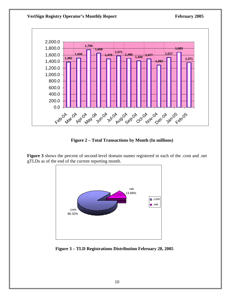

**Figure 2 – Total Transactions by Month (In millions)** 

**Figure 3** shows the percent of second-level domain names registered in each of the .com and .net gTLDs as of the end of the current reporting month.



 **Figure 3 – TLD Registrations Distribution February 28, 2005**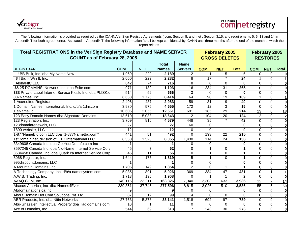

# **Comnetregistry**

| Total REGISTRATIONS in the VeriSign Registry Database and NAME SERVER |                  |                  |                 |                 |                 | <b>February 2005</b>    |                  | February 2005   |                 |                         |
|-----------------------------------------------------------------------|------------------|------------------|-----------------|-----------------|-----------------|-------------------------|------------------|-----------------|-----------------|-------------------------|
| <b>COUNT as of February 28, 2005</b>                                  |                  |                  |                 |                 |                 | <b>GROSS DELETES</b>    |                  |                 | <b>RESTORES</b> |                         |
|                                                                       |                  |                  | <b>Total</b>    | <b>Name</b>     |                 |                         |                  |                 |                 |                         |
| <b>IREGISTRAR</b>                                                     | <b>COM</b>       | <b>NET</b>       | <b>Names</b>    | <b>Servers</b>  | <b>COM</b>      | <b>NET</b>              | <b>Total</b>     | <b>COM</b>      | <b>NET</b>      | <b>Total</b>            |
| !!!! BB Bulk, Inc. dba My Name Now                                    | 1,969            | 220              | 2,189           |                 |                 | 5                       | 6                | $\Omega$        | $\Omega$        | $\mathbf 0$             |
| ! \$ ! Bid It Win It, Inc.                                            | 2,060            | 222              | 2,282           | 8               | $\overline{17}$ | $\overline{7}$          | 24               |                 | $\mathbf 0$     | $\mathbf 1$             |
| ! AlohaNIC LLC                                                        | 642              | $\overline{74}$  | 716             | 8               | $\Omega$        | $\overline{\mathsf{o}}$ | $\bf{0}$         | $\overline{0}$  | $\overline{0}$  | $\mathbf 0$             |
| !\$6.25 DOMAINS! Network, Inc. dba Esite.com                          | 971              | 132              | 1,103           | $\overline{16}$ | 234             | $\overline{31}$         | 265              | $\overline{0}$  | $\mathbf 0$     | $\mathbf 0$             |
| \$\$\$ Private Label Internet Service Kiosk, Inc. dba PLISK.c         | $\overline{514}$ | 52               | 566             | 3               | $\Omega$        | $\Omega$                | $\bf{0}$         | $\mathbf 0$     | $\mathbf 0$     | $\overline{\mathbf{0}}$ |
| 007Names, Inc.                                                        | 6,638            | 1,776            | 8,414           | 164             | 90              | 19                      | 109              |                 | 0               | $\mathbf 1$             |
| 1 Accredited Registrar                                                | 2,496            | 487              | 2,983           | 59              | 31              | $\overline{9}$          | 40               | $\mathbf 0$     | $\mathbf 0$     | $\bf{0}$                |
| Domain Names International, Inc. d/b/a 1dni.com                       | 3,980            | $\overline{575}$ | 4,555           | 172             | $\overline{12}$ | دى                      | 15               | $\mathbf 0$     | $\mathbf 0$     | $\bf{0}$                |
| 1 eNameCo.                                                            | 10,606           | 2,055            | 12,661          | 691             | 185             | 29                      | $\overline{214}$ | 13              | $\overline{0}$  | 13                      |
| 123 Easy Domain Names dba Signature Domains                           | 13,610           | 5,033            | 18,643          |                 | 104             | $\overline{20}$         | 124              | $\overline{2}$  | $\mathbf 0$     | $\mathbf{2}$            |
| 123 Registration, Inc.                                                | 3,769            | 810              | 4,579           | 448             | 35              | $\overline{7}$          | 42               | $\overline{0}$  | $\mathbf 0$     | $\bf{0}$                |
| 123domainrenewals, LLC                                                | 27               |                  | 27              | 160             |                 |                         | 0                | $\mathbf 0$     | $\Omega$        | $\bf{0}$                |
| 1800-website, LLC                                                     | 12               |                  | 12              | 0               | $\Omega$        |                         | 0                | $\mathbf 0$     | 0               | $\mathbf 0$             |
| 1-877NameBid.com LLC dba "1-877NameBid.com"                           | 441              | 51               | 492             | $\Omega$        | 193             | 22                      | 215              | $\mathbf 0$     | $\mathbf 0$     | $\bf{0}$                |
| 1stDomain.net, division of G+D International LLC                      | 6,530            | 1,525            | 8,055           | 1,430           | 114             | 24                      | 138              | $\overline{0}$  | $\mathbf 0$     | $\bf{0}$                |
| 3349608 Canada Inc. dba GetYourDotInfo.com Inc                        |                  |                  |                 |                 |                 |                         | $\bf{0}$         | $\overline{0}$  | $\mathbf 0$     | $\mathbf 0$             |
| 3597245 Canada Inc. dba Nic-Name Internet Service Corp                | 45               | $\overline{7}$   | 52              |                 |                 | $\overline{0}$          |                  | $\overline{0}$  | $\mathbf 0$     | $\bf{0}$                |
| 3684458 Canada, Inc. dba Quark.ca Internet Service Corp               | 45               | $\overline{11}$  | $\overline{56}$ |                 |                 | $\overline{0}$          |                  | $\overline{0}$  | $\mathbf 0$     | $\mathbf 0$             |
| 8068 Registrar, Inc.                                                  | 1,644            | 175              | 1,819           |                 |                 | $\overline{0}$          |                  | 0               | $\Omega$        | $\mathbf 0$             |
| 995discountdomains, LLC                                               |                  |                  |                 | $\Omega$        |                 |                         | $\bf{0}$         | $\mathbf 0$     | $\mathbf 0$     | $\overline{\mathbf{0}}$ |
| A Mountain Domains, Inc.                                              | 1,705            | 149              | 1,854           |                 |                 |                         |                  | $\mathbf 0$     | $\mathbf 0$     | $\overline{\mathbf{0}}$ |
| A Technology Company, Inc. d/b/a namesystem.com                       | 5,035            | 891              | 5,926           | 369             | 384             | $\overline{47}$         | 431              | $\mathbf 0$     | $\mathbf 1$     | $\mathbf{1}$            |
| A.W.B. Trading, Inc.                                                  | 1,713            | 195              | 1,908           | $\Omega$        |                 |                         | $\mathbf{2}$     | $\overline{0}$  | $\mathbf 0$     | $\mathbf 0$             |
| AAAQ.COM, Inc.                                                        | 140,115          | 23,211           | 163,326         | 7,340           | 3,303           | 633                     | 3,936            | $\overline{12}$ | $\overline{2}$  | 14                      |
| Abacus America, Inc. dba Names4Ever                                   | 239,851          | 37,745           | 277,596         | 8,815           | 3,026           | 510                     | 3,536            | 55              | $\overline{5}$  | 60                      |
| Abdomainations.ca Inc.                                                | 9                |                  |                 |                 |                 |                         | 0                | $\overline{0}$  | $\mathbf 0$     | $\bf{0}$                |
| About Domain Dot Com Solutions Pvt. Ltd.                              | 87               | 12               | 99              |                 |                 | $\overline{0}$          | $\mathbf{0}$     | $\overline{0}$  | $\mathbf 0$     | $\mathbf 0$             |
| ABR Products, Inc. dba Nitin Networks                                 | 27,763           | 5,378            | 33,141          | 1,518           | 692             | 97                      | 789              | $\overline{0}$  | $\mathbf 0$     | $\overline{\mathbf{0}}$ |
| Abu-Ghazaleh Intellectual Property dba Tagidomains.com                | 10 <sup>1</sup>  |                  | 11              |                 |                 | $\Omega$                | 0                | $\mathbf 0$     | $\mathbf 0$     | $\bf{0}$                |
| Ace of Domains, Inc                                                   | 544              | 69               | 613             |                 | 243             | 30                      | 273              | $\overline{0}$  | $\overline{0}$  | $\bf{0}$                |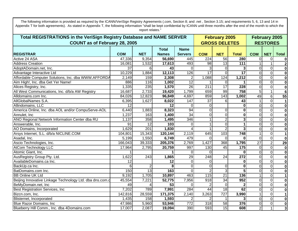| <b>Total REGISTRATIONS in the VeriSign Registry Database and NAME SERVER</b> |                 |                 |                  | <b>February 2005</b> | <b>February 2005</b> |                      |                 |                 |                 |                         |
|------------------------------------------------------------------------------|-----------------|-----------------|------------------|----------------------|----------------------|----------------------|-----------------|-----------------|-----------------|-------------------------|
| <b>COUNT as of February 28, 2005</b>                                         |                 |                 |                  |                      |                      | <b>GROSS DELETES</b> |                 |                 | <b>RESTORES</b> |                         |
|                                                                              |                 |                 | <b>Total</b>     | <b>Name</b>          |                      |                      |                 |                 |                 |                         |
| <b>REGISTRAR</b>                                                             | <b>COM</b>      | <b>NET</b>      | <b>Names</b>     | <b>Servers</b>       | <b>COM</b>           | <b>NET</b>           | <b>Total</b>    | <b>COM</b>      | <b>NET</b>      | <b>Total</b>            |
| Active 24 ASA                                                                | 47,336          | 9,354           | 56,690           | 445                  | 224                  | 56                   | 280             | $\mathbf 0$     | 0               | 0                       |
| <b>Address Creation</b>                                                      | 16,081          | 1,532           | 17,613           | 493                  | 98                   | 13                   | 111             |                 |                 | $\mathbf{2}$            |
| AdoptADomain.net, Inc.                                                       | 37              | 6               | 43               | $\Omega$             |                      | $\overline{0}$       | 3               | $\mathbf 0$     | 0               | $\bf{0}$                |
| Advantage Interactive Ltd                                                    | 10,229          | 1,884           | 12,113           | 126                  | 17                   | $\overline{0}$       | $\overline{17}$ | $\mathbf 0$     | $\overline{0}$  | $\mathbf 0$             |
| Affordable Computer Solutions, Inc. dba WWW.AFFORDA                          | 2,149           | 159             | 2,308            | $\overline{2}$       | 1,088                | 124                  | 1,212           | $\mathbf 0$     | $\overline{0}$  | $\mathbf 0$             |
| Aim High!, Inc. dba Get Yer Name!                                            | 886             | 116             | 1,002            | 12                   |                      | $\Omega$             |                 | $\pmb{0}$       | $\pmb{0}$       | $\bf{0}$                |
| Alices Registry, Inc.                                                        | 1,335           | 235             | 1,570            | 26                   | 211                  | $\overline{17}$      | 228             | $\pmb{0}$       | $\pmb{0}$       | $\boldsymbol{0}$        |
| All West Communications, Inc. d/b/a AW Registry                              | 16,687          | 2,733           | 19,420           | 1,799                | 659                  | 99                   | 758             | $\overline{5}$  | $\mathbf{1}$    | $\overline{6}$          |
| Alldomains.com Inc.                                                          | 84,026          | 12,823          | 96,849           | 4,697                | 859                  | 143                  | 1,002           | 49              | $6\phantom{1}$  | 55                      |
| AllGlobalNames S.A.                                                          | 6,395           | 1,627           | 8,022            | 147                  | 37                   | 6                    | 43              |                 | $\overline{0}$  | $\overline{1}$          |
| Allindomains, LLC                                                            | 12              |                 | 12               | $\Omega$             |                      |                      | $\mathbf{0}$    | $\overline{0}$  | $\mathbf 0$     | $\mathbf 0$             |
| America Online, Inc. dba AOL and/or CompuServe-AOL                           | 6,440           | 1,883           | 8,323            | 94                   |                      | $\overline{0}$       | $\mathbf{0}$    | $\Omega$        | $\mathbf 0$     | $\mathbf 0$             |
| Annulet, Inc                                                                 | 1,237           | 163             | 1,400            | 34                   |                      | $\overline{0}$       | 0               | $\mathbf 0$     | $\mathbf 0$     | $\bf{0}$                |
| ANO Regional Network Information Center dba RU                               | 1,137           | 358             | 1,495            | 346                  |                      | $\overline{2}$       | 3               | $\mathbf 0$     | $\mathbf 0$     | $\mathbf 0$             |
| Answerable, Inc.                                                             | $\overline{91}$ | $\overline{12}$ | 103              | $\Omega$             |                      | $\overline{0}$       | 1               | $\overline{0}$  | $\mathbf 0$     | $\overline{\mathbf{0}}$ |
| AO Domains, Incorporated                                                     | 1,629           | 201             | 1,830            |                      |                      | $\overline{2}$       | 3               | $\mathbf 0$     | $\mathbf 0$     | $\bf{0}$                |
| Arsys Internet, S.L. d/b/a NICLINE.COM                                       | 104,801         | 15,343          | 120,144          | 2,119                | 645                  | 103                  | 748             |                 | $\mathbf 0$     | $\mathbf 1$             |
| Asadal, Inc.                                                                 | 5,199           | 1,550           | 6,749            | 479                  |                      | $\Omega$             | $\mathbf{0}$    | $\overline{0}$  | $\mathbf 0$     | $\mathbf 0$             |
| Ascio Technologies, Inc.                                                     | 166,043         | 39,333          | 205,376          | 2,769                | 1,427                | 368                  | 1,795           | $\overline{27}$ | $\overline{c}$  | 29                      |
| <b>AtCom Technology LLC</b>                                                  | 17,964          | 2,795           | 20,759           | 997                  | 130                  | 45                   | 175             | $\overline{0}$  | $\mathbf 0$     | $\mathbf 0$             |
| Atomic Giant, Inc.                                                           |                 |                 |                  | $\Omega$             | <sup>0</sup>         |                      | $\bf{0}$        | $\overline{0}$  | $\overline{0}$  | $\bf{0}$                |
| AusRegistry Group Pty. Ltd.                                                  | 1,622           | 243             | 1,865            | 29                   | 248                  | 24                   | 272             | $\mathbf 0$     | $\Omega$        | $\bf{0}$                |
| AvailableDomains.ca Inc.                                                     | 12              |                 | 12               | 0                    |                      |                      | 0               | $\overline{0}$  | $\overline{0}$  | $\bf{0}$                |
| BackUp.ca Inc.                                                               |                 | $\overline{2}$  | 8                | $\Omega$             |                      | $\overline{0}$       | $\mathbf 0$     | $\overline{0}$  | $\overline{0}$  | $\bf{0}$                |
| BatDomains.com Inc.                                                          | 150             | $\overline{13}$ | $\overline{163}$ | $\Omega$             |                      | ω                    | 5               | $\mathbf 0$     | $\mathbf 0$     | $\bf{0}$                |
| <b>BB Online UK Ltd</b>                                                      | 9,192           | 1,705           | 10,897           | 463                  | 115                  | $\overline{21}$      | 136             |                 | $\mathbf 0$     | $\mathbf{1}$            |
| Beijing Innovative Linkage Technology Ltd. dba dns.com.c                     | 45,554          | 7,221           | 52,775           | 7,956                | 918                  | $\overline{34}$      | 952             | $\mathbf 0$     | $\mathbf 0$     | $\mathbf 0$             |
| BeMyDomain.net, Inc                                                          | 49              | Δ               | 53               |                      |                      | $\Omega$             | $\mathbf{2}$    | $\overline{0}$  | $\pmb{0}$       | $\bf{0}$                |
| Best Registration Services, Inc                                              | 7,202           | 789             | 7,991            | 284                  | 44                   | $\overline{18}$      | 62              | $\mathbf 0$     | $\pmb{0}$       | $\mathbf 0$             |
| Bizcn.com, Inc.                                                              | 142,816         | 28,559          | 171,375          | 2,140                | 3,263                | $\overline{727}$     | 3,990           |                 | $\mathbf 0$     | $\mathbf{1}$            |
| Blisternet, Incorporated                                                     | 1,435           | 158             | 1,593            |                      |                      |                      | 3               | $\overline{0}$  | $\mathbf 0$     | $\bf{0}$                |
| <b>Blue Razor Domains, Inc.</b>                                              | 47,986          | 5,960           | 53,946           | 772                  | 318                  | 58                   | 376             | $\mathbf 0$     | $\mathbf 0$     | $\bf{0}$                |
| Blueberry Hill Comm., Inc. dba 4Domains.com                                  | 17,007          | 2,087           | 19,094           | 390                  | 593                  | 15                   | 608             | $\overline{2}$  | $\mathbf 1$     | $\overline{\mathbf{3}}$ |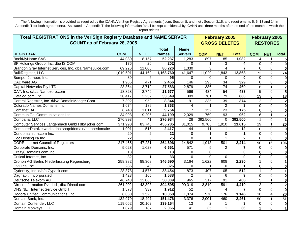| <b>Total REGISTRATIONS in the VeriSign Registry Database and NAME SERVER</b> |                 |             |                 |                 |                  | <b>February 2005</b> |                 |                 | <b>February 2005</b> |                          |
|------------------------------------------------------------------------------|-----------------|-------------|-----------------|-----------------|------------------|----------------------|-----------------|-----------------|----------------------|--------------------------|
| <b>COUNT as of February 28, 2005</b>                                         |                 |             |                 |                 |                  | <b>GROSS DELETES</b> |                 |                 | <b>RESTORES</b>      |                          |
|                                                                              |                 |             | <b>Total</b>    | <b>Name</b>     |                  |                      |                 |                 |                      |                          |
| <b>REGISTRAR</b>                                                             | <b>COM</b>      | <b>NET</b>  | <b>Names</b>    | <b>Servers</b>  | <b>COM</b>       | <b>NET</b>           | <b>Total</b>    | <b>COM</b>      | <b>NET</b>           | <b>Total</b>             |
| BookMyName SAS                                                               | 44,080          | 8,157       | 52,237          | 1,283           | 897              | 185                  | 1,082           |                 |                      | 5 <sub>l</sub>           |
| BP Holdings Group, Inc. dba IS.COM                                           | 176             | 26          | 202             |                 |                  | 3                    |                 | $\Omega$        | $\overline{0}$       | $\overline{\mathbf{o}}$  |
| Brandon Gray Internet Services, Inc. dba NameJuice.com                       | 69,226          | 11,000      | 80,226          | 1,330           |                  | 4                    |                 | $\Omega$        | $\overline{0}$       | $\overline{\mathbf{o}}$  |
| BulkRegister, LLC.                                                           | 1,019,591       | 144,169     | 1,163,760       | 41,647          | 11,020           | 1,843                | 12,863          | $\overline{72}$ | $\overline{2}$       | 74                       |
| Bumper Jumper, Inc.                                                          | 89              | 6           | 95              | $\Omega$        | $\Omega$         | 0                    | $\Omega$        | $\mathbf 0$     | $\overline{0}$       | $\mathbf{0}$             |
| <b>CADiware AG</b>                                                           | 1,985           | 471         | 2,456           | 146             | 295              | $\overline{34}$      | 329             | $\Omega$        | $\overline{0}$       | $\overline{\mathbf{0}}$  |
| Capital Networks Pty LTD                                                     | 23,864          | 3,719       | 27,583          | 2,879           | 386              | 74                   | 460             | $6\phantom{1}$  | $\mathbf 1$          | $\overline{7}$           |
| CAT, Inc. d/b/a Namezero.com                                                 | 18,828          | 2,749       | 21,577          | 566             | 434              | 54                   | 488             | 5               | $\overline{0}$       | $\overline{\mathbf{5}}$  |
| Catalog.com, Inc.                                                            | 30,417          | 3,232       | 33,649          | 309             | 781              | 79                   | 860             | $\overline{13}$ | $\overline{0}$       | $\overline{13}$          |
| Central Registrar, Inc. d/b/a DomainMonger.Com                               | 7,392           | 952         | 8,344           | 91              | $\frac{1}{335}$  | 39                   | 374             | $\overline{2}$  | $\overline{0}$       | $\overline{\mathbf{2}}$  |
| Colorado Names Domains, Inc.                                                 | 1,674           | 189         | 1,863           |                 |                  | $\overline{2}$       | 3               | $\mathbf 0$     | $\overline{0}$       | $\overline{\mathbf{0}}$  |
| Comitnet AB                                                                  | 8,743           | 1,011       | 9,754           |                 | 152              | 23                   | 175             | $\Omega$        | $\Omega$             | $\overline{\mathbf{0}}$  |
| <b>CommuniGal Communications Ltd</b>                                         | 34,993          | 9,206       | 44,199          | 2,029           | 769              | 193                  | 962             | $6 \mid$        | 1                    | $\overline{7}$           |
| Compana, LLC                                                                 | 276,893         | 41          | 276,934         | $\overline{28}$ | 392,500          | $\Omega$             | 392,500         |                 | $\overline{0}$       | $\overline{1}$           |
| Computer Services Langenbach GmbH dba joker.com                              | 371,990         | 83,745      | 455,735         | 31,015          | 9,705            | 1,910                | 11,615          | 19              | $\overline{1}$       | 20                       |
| ComputerDataNetworks dba shop4domain/netonedomains                           | 1,901           | 516         | 2,417           | 44              | 11               | $\mathbf{1}$         | $\overline{12}$ | $\overline{0}$  | $\overline{0}$       | $\bullet$                |
| Condomainium.com Inc.                                                        | 20              |             | 22              | $\Omega$        |                  | 0                    |                 | $\mathbf 0$     | $\overline{0}$       | $\mathbf{0}$             |
| CoolHosting.ca Inc.                                                          | $\overline{22}$ | 3           | $\overline{25}$ | $\Omega$        |                  |                      |                 | $\mathbf 0$     | $\overline{0}$       | $\mathbf{0}$             |
| <b>CORE</b> Internet Council of Registrars                                   | 217,465         | 47,231      | 264,696         | 14,842          | 1,913            | 501                  | 2,414           | $\overline{90}$ | 16                   | 106                      |
| Corporate Domains, Inc.                                                      | 5,023           | 1,628       | 6,651           | 571             |                  | $\overline{2}$       | 7               | $\mathbf 0$     | $\overline{0}$       | 0                        |
| Crazy8Domains.com Inc.                                                       | 13              |             | 13              |                 |                  |                      | $\mathbf 0$     | $\mathbf 0$     | $\overline{0}$       | 0                        |
| Critical Internet, Inc.                                                      | $\overline{32}$ | $\mathbf 1$ | 33              | $\Omega$        | $\Omega$         | $\mathbf 0$          | $\Omega$        | $\overline{0}$  | $\overline{0}$       | 0                        |
| Cronon AG Berlin, Niederlassung Regensburg                                   | 258,382         | 88,308      | 346,690         | 3,164           | 1,622            | 608                  | 2,230           |                 | $\overline{0}$       | $\vert$ 1                |
| CVO.ca, Inc.                                                                 | 286             | 40          | 326             | $\Omega$        |                  | 0                    |                 | $\Omega$        | $\overline{0}$       | $\mathbf{0}$             |
| Cydentity, Inc. d/b/a Cypack.com                                             | 28,878          | 4,576       | 33,454          | 873             | 407              | 105                  | 512             |                 | $\overline{0}$       | $\overline{\phantom{0}}$ |
| Dagnabit, Incorporated                                                       | 1,423           | 165         | 1,588           |                 |                  | 6                    | 9               | $\Omega$        | $\overline{0}$       | $\mathbf{0}$             |
| Deutsche Telekom AG                                                          | 46,743          | 12,066      | 58,809          | 965             | $\overline{317}$ | $\overline{91}$      | 408             | 5               |                      | $\bullet$                |
| Direct Information Pvt. Ltd., dba Directl.com                                | 261,202         | 43,393      | 304,595         | 90,319          | 3,819            | 591                  | 4,410           | $\overline{2}$  | $\overline{0}$       | $\overline{\mathbf{2}}$  |
| <b>DNS NET Internet Service GmbH</b>                                         | 1,573           | 339         | 1,912           | 52              |                  | 4                    |                 | $\mathbf 0$     | $\overline{0}$       | $\overline{\mathbf{o}}$  |
| Dodora Unified Communications, Inc.                                          | 8,830           | 1,528       | 10,358          | 1,874           | 970              | 176                  | 1,146           | 16              | $\vert 4 \vert$      | 20                       |
| Domain Bank, Inc.                                                            | 132,979         | 18,497      | 151,476         | 3,376           | 2,001            | 460                  | 2,461           | 50              | $\mathbf{1}$         | 51                       |
| Domain Contender, LLC                                                        | 119,062         | 20,102      | 139,164         | 13              |                  |                      | $\mathbf 3$     | $\overline{0}$  | $\overline{0}$       | 0                        |
| Domain Monkeys, LLC                                                          | 1,879           | 187         | 2,066           | $\overline{41}$ | 35               | 1                    | 36              | 1               | $\overline{0}$       | $\overline{1}$           |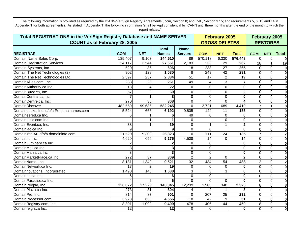**REGISTRAR COM NETTotal NamesName Servers COM NET Total COM NET Total February 2005 GROSS DELETESTotal REGISTRATIONS in the VeriSign Registry Database and NAME SERVER COUNT as of February 28, 2005 February 2005 RESTORES**Appendix T for both agreements). As stated in Appendix T, the following information "shall be kept confidential by ICANN until three months after the end of the month to which the report relates." Domain Name Sales Corp. 135,407 9,103 **144,510** 89 570,118 6,330 **576,448** 0 0 **0**Domain Registration Services 24,117 3,544 **27,661** 2,183 233 29 **262** 18 1 **19** Domain Systems, Inc. 520 86 **606** 18 238 27 **265** 0 0 **0**Domain The Net Technologies (2) 902 128 **1,030** 8 249 42 **291** 0 0 **0**Domain The Net Technologies Ltd. 2,597 237 **2,834** 51 17 2 **19** 0 0 **0**DomainAllies.com, Inc. 238 23 **261** 49 4 3 **7** 0 0 **0**DomainAuthority.ca Inc. 18 4 **22** 0 00 **0** 0 0 **0**DomainBuzz.ca, Inc. 57 3 **60** 0 20 **2**21 01 0 **0**DomainCentral.ca Inc. 7 1**8**8101010 **0** 0 0**0**DomainCentre.ca, Inc. 270 38 **308** 0 40 **4**41010 **0**DomainDiscover 482,559 99,686 **582,245** 0 3,721 689 **4,410** 7 1 **8**Domainducks, Inc. d/b/a Personalnames.com 5,524 668 **6,192** 9,805 144 11 **155** 0 0 **0**Domaineered.ca Inc. 5 **6**6 49 0 0 **0** 0 0**0**Domainestic.com Inc 1 **1** 0 0 **0** 0 0**0**DomainEvent.ca, Inc. 38 1 **39** 0 11 **2** 0 0**0**Domainiac.ca Inc. 9**9** 0 0 **0** 0 0**0**Domaininfo AB d/b/a domaininfo.com 21,520 5,303 **26,823** 0 111 24 **135** 7 0 **7**Domain-it, Inc. 4,620 655 **5,275** 4,508 14 0 **14** 0 0 **0DomainLuminary.ca Inc.** 2 **2** 0 0 **0** 0 0**0**DomainMall.ca Inc 3 **3**31 01 0 **0** 0 0**0I** DomainMania.ca Inc 3 **3**31 01 0 **0** 0 0**0**DomainMarketPlace.ca Inc 272 37 7**| 309|** 2| 2| 0 **2** 0 0**0**DomainName, Inc. 8,181 1,340 **9,521** 32 434 54 **488** 2 0 **2**DomainNetwork.ca Inc. 17 22**1 191 01 01 0 0** 0 0**0Domainnovations, Incorporated 1,490** 1,490 1,638 3 3 3 **6** 0 0**0**Domainos.ca Inc. 6**6** 0 0 **0** 0 0**0**DomainParadise.ca Inc. 4 2**6**6 0 0 0 **0** 0 0**0**DomainPeople, Inc. 126,072 17,273 **143,345** 12,239 1,983 340 **2,323** 8 0 **8**DomainPlaza.ca Inc. 273 311 **304 4 2 1 3** 0 0**0**DomainPro, Inc. 814 87 **901** 0 207 25 **232** 0 0 **0**DomainProcessor.com 3,923 633 **4,556** 118 42 9 **51** 0 0 **0**DomainRegistry.com, Inc. 8,301 1,099 **9,400** 478 406 44 **450** 8 0 **8**Domainreign.ca Inc. 12 **12** 0 0 **0** 0 0**0**

The following information is provided as required by the ICANN/VeriSign Registry Agreements (.com, Section 8; and .net , Section 3.15; and requirements 5, 6, 13 and 14 in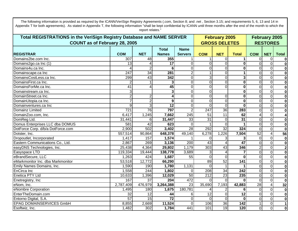| Total REGISTRATIONS in the VeriSign Registry Database and NAME SERVER |                  |                     |                  |                     |                 | <b>February 2005</b> |                         | <b>February 2005</b> |                 |                         |
|-----------------------------------------------------------------------|------------------|---------------------|------------------|---------------------|-----------------|----------------------|-------------------------|----------------------|-----------------|-------------------------|
| <b>COUNT as of February 28, 2005</b>                                  |                  |                     |                  |                     |                 | <b>GROSS DELETES</b> |                         |                      | <b>RESTORES</b> |                         |
|                                                                       |                  |                     | <b>Total</b>     | <b>Name</b>         |                 |                      |                         |                      |                 |                         |
| <b>REGISTRAR</b>                                                      | <b>COM</b>       | <b>NET</b>          | <b>Names</b>     | <b>Servers</b>      | <b>COM</b>      | <b>NET</b>           | <b>Total</b>            | <b>COM</b>           | <b>NET</b>      | <b>Total</b>            |
| Domains2be.com Inc.                                                   | $\overline{307}$ | 48                  | 355              |                     |                 | $\Omega$             |                         | $\Omega$             | $\mathbf 0$     | $\mathbf 0$             |
| Domains2go.ca Inc (1)                                                 | 13               |                     | $\overline{17}$  | $\Omega$            | $\Omega$        | $\Omega$             | $\bf{0}$                | $\Omega$             | $\Omega$        | $\mathbf 0$             |
| Domains4u.ca Inc.                                                     |                  | $\overline{2}$      | 6                | $\Omega$            | $\Omega$        | $\overline{0}$       | $\mathbf 0$             | $\Omega$             | $\Omega$        | $\mathbf 0$             |
| Domainscape.ca Inc                                                    | 247              | $\overline{34}$     | 281              | $\overline{2}$      |                 | $\overline{0}$       | 1                       | $\Omega$             | $\overline{0}$  | $\mathbf 0$             |
| DomainsCostLess.ca Inc.                                               | 299              | 43                  | 342              | $\overline{0}$      | 3               | $\overline{0}$       | $\overline{\mathbf{3}}$ | $\overline{0}$       | $\mathbf 0$     | $\mathbf 0$             |
| DomainsFirst.ca Inc.                                                  | $\overline{2}$   | 1                   | 3                | $\Omega$            | $\overline{O}$  | $\overline{0}$       | $\mathbf 0$             | $\overline{0}$       | $\mathbf 0$     | $\mathbf 0$             |
| DomainsForMe.ca Inc.                                                  | $\overline{41}$  | 4                   | 45               | $\overline{0}$      | $\Omega$        | $\overline{0}$       | $\mathbf 0$             | $\overline{0}$       | $\mathbf 0$     | $\mathbf 0$             |
| Domainstream.ca Inc.                                                  | 3                |                     | 3                | $\overline{0}$      | $\Omega$        |                      | $\mathbf 0$             | $\Omega$             | $\mathbf 0$     | $\mathbf 0$             |
| DomainStreet.ca Inc.                                                  | $\overline{2}$   | $\overline{2}$      | 4                | $\Omega$            | $\Omega$        | $\overline{0}$       | $\mathbf{0}$            | $\Omega$             | $\overline{0}$  | $\mathbf 0$             |
| DomainUtopia.ca Inc.                                                  | $\overline{7}$   | $\overline{2}$      | 9                | $\overline{0}$      | $\Omega$        | $\overline{0}$       | $\mathbf 0$             | $\Omega$             | $\mathbf 0$     | $\mathbf 0$             |
| Domainventures.ca Inc                                                 | 9                | 3                   | $\overline{12}$  | $\overline{0}$      | $\Omega$        | $\overline{0}$       | $\mathbf{0}$            | $\Omega$             | $\mathbf{0}$    | $\mathbf 0$             |
| Domainz Limited                                                       | 721              | 76                  | 797              | $\overline{2}$      | 247             | 36                   | 283                     | $\Omega$             | $\mathbf{0}$    | $\mathbf 0$             |
| DomainZoo.com, Inc.                                                   | 6,417            | 1,245               | 7,662            | 245                 | 51              | 11                   | 62                      |                      | $\mathbf{0}$    | $\overline{\mathbf{4}}$ |
| DomReg Ltd.                                                           | 31,441           | 6                   | 31,447           | 33                  | $\overline{31}$ | $\overline{0}$       | $\overline{31}$         | $\Omega$             | $\mathbf 0$     | $\mathbf 0$             |
| Domus Enterprises LLC dba DOMUS                                       | 581              | 42                  | 623              | $\Omega$            |                 | $\Omega$             |                         | $\Omega$             | $\mathbf 0$     | $\mathbf 0$             |
| DotForce Corp. d/b/a DotForce.com                                     | 2,900            | 502                 | 3,402            | 28                  | 292             | $\overline{32}$      | 324                     | $\Omega$             | $\mathbf 0$     | $\mathbf 0$             |
| Dotster, Inc.                                                         | 557,514          | 90,864              | 648,378          | $\overline{49,}140$ | 6,278           | 1,226                | 7,504                   | 52                   | $\overline{4}$  | 56                      |
| Dropoutlet, Incorporated                                              | 1,417            | 157                 | 1,574            |                     | $\Omega$        | 3                    | 3                       | $\Omega$             | $\overline{0}$  | $\mathbf 0$             |
| Eastern Communications Co., Ltd.                                      | 2,867            | 269                 | 3,136            | 200                 | 43              | 4                    | 47                      | $\Omega$             | $\Omega$        | $\mathbf 0$             |
| easyDNS Technologies, Inc.                                            | 25,438           | 4,364               | 29,802           | 1,179               | 303             | 43                   | 346                     | $\overline{2}$       | $\mathbf 0$     | $\mathbf{2}$            |
| Easyspace LTD                                                         | 119,334          | 19,444              | 138,778          | 3,689               |                 | 4                    | 7                       | $\Omega$             | $\overline{0}$  | $\mathbf 0$             |
| eBrandSecure, LLC                                                     | 1,263            | 424                 | 1,687            | 55                  | $\Omega$        | $\Omega$             | $\mathbf 0$             | $\Omega$             | $\overline{0}$  | $\mathbf 0$             |
| eMarkmonitor Inc. dba Markmonitor                                     | 53,518           | $\overline{12,772}$ | 66,290           |                     | $\overline{89}$ | 52                   | 141                     | $\Omega$             | $\mathbf{0}$    | $\mathbf 0$             |
| Emily Names Domains, Inc.                                             | 1,590            | 190                 | 1,780            | 1,131               | $\Omega$        |                      |                         | $\Omega$             | $\overline{0}$  | $\mathbf 0$             |
| EnCirca Inc                                                           | 1,558            | 244                 | 1,802            | $\Omega$            | 208             | 34                   | 242                     | $\Omega$             | $\mathbf 0$     | $\mathbf 0$             |
| Enetica PTY Ltd                                                       | 10,633           | 1,396               | 12,029           | 50                  | 212             | $\overline{23}$      | 235                     | $\Omega$             | $\mathbf 0$     | $\mathbf 0$             |
| Enetregistry, Inc                                                     | 167              | $\overline{37}$     | $\overline{204}$ | 472                 | $\Omega$        | $\Omega$             | $\bf{0}$                | $\Omega$             | $\mathbf 0$     | $\mathbf 0$             |
| eNom, Inc.                                                            | 2,787,409        | 476,979             | 3,264,388        | 23                  | 35,690          | 7,193                | 42,883                  | $\overline{28}$      | $\overline{4}$  | 32                      |
| eNombre Corporation                                                   | 1,495            | 180                 | 1,675            | 180,781             |                 | 2                    | 6                       | $\Omega$             | $\mathbf{O}$    | $\mathbf 0$             |
| EnterTheDomain.com                                                    | 32               | 12                  | 44               | $6 \mid$            | 12              | $\Omega$             | $\overline{12}$         | $\Omega$             | $\overline{0}$  | $\mathbf 0$             |
| Entorno Digital, S.A.                                                 | 57               | 15                  | $\overline{72}$  | $\overline{0}$      | $\Omega$        | $\overline{0}$       | $\bf{0}$                | $\overline{0}$       | $\mathbf 0$     | $\mathbf 0$             |
| <b>EPAG DOMAINSERVICES GmbH</b>                                       | 8,855            | 2,669               | 11,524           | $\Omega$            | 106             | 36                   | $\frac{1}{142}$         | $\mathbf{1}$         | $\mathbf 0$     | $\mathbf{1}$            |
| Esoftwiz, Inc.                                                        | 1,482            | 302                 | 1,784            | 441                 | 101             | 19                   | 120                     | $\Omega$             | $\mathbf{O}$    | $\mathbf 0$             |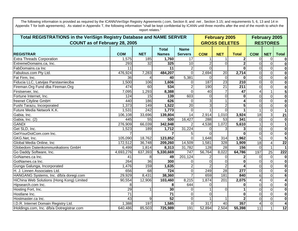| <b>Total REGISTRATIONS in the VeriSign Registry Database and NAME SERVER</b><br><b>COUNT as of February 28, 2005</b> |                 |            |                              |                               |                  | <b>February 2005</b><br><b>GROSS DELETES</b> |                  |                 | <b>February 2005</b><br><b>RESTORES</b> |                         |
|----------------------------------------------------------------------------------------------------------------------|-----------------|------------|------------------------------|-------------------------------|------------------|----------------------------------------------|------------------|-----------------|-----------------------------------------|-------------------------|
| <b>REGISTRAR</b>                                                                                                     | <b>COM</b>      | <b>NET</b> | <b>Total</b><br><b>Names</b> | <b>Name</b><br><b>Servers</b> | <b>COM</b>       | <b>NET</b>                                   | <b>Total</b>     | <b>COM</b>      | <b>NET</b>                              | <b>Total</b>            |
| <b>Extra Threads Corporation</b>                                                                                     | 1,575           | 185        | 1,760                        | 17                            |                  |                                              | $\mathbf{2}$     | 0               | $\mathbf 0$                             | $\mathbf 0$             |
| ExtremeDomains.ca, Inc.                                                                                              | 293             | 32         | 325                          | 10                            |                  | $\Omega$                                     | $\mathbf{2}$     | $\Omega$        | $\overline{0}$                          | $\bf{0}$                |
| FabDomains.ca Inc                                                                                                    | 11              |            | 11                           | $\overline{2}$                | $\Omega$         |                                              | 0                | $\Omega$        | $\overline{0}$                          | $\bf{0}$                |
| Fabulous.com Pty Ltd.                                                                                                | 476,924         | 7,283      | 484,207                      | $\Omega$                      | 2,694            | 20                                           | 2,714            | 0               | $\overline{0}$                          | $\boldsymbol{0}$        |
| Fat Firm, Inc.                                                                                                       | 36              | 4          | 40                           | 5,381                         | ΩI               | $\overline{0}$                               | 0                | $\Omega$        | $\overline{0}$                          | $\overline{\mathbf{0}}$ |
| Fiducia LLC, Latvijas Parstavnieciba                                                                                 | 1,500           | 106        | 1,606                        | $\Omega$                      | 187              | $\overline{23}$                              | $\overline{210}$ | $\Omega$        | $\overline{0}$                          | $\overline{\mathbf{0}}$ |
| Fireman.Org Fund dba Fireman.Org                                                                                     | 474             | 60         | 534                          | $\overline{2}$                | 190              | $\overline{21}$                              | $\overline{211}$ | $\Omega$        | $\overline{0}$                          | $\overline{\mathbf{0}}$ |
| Firstserver, Inc.                                                                                                    | 7,095           | 1,293      | 8,388                        | $\Omega$                      | 40               |                                              | 47               |                 | $\mathbf{1}$                            | $\overline{\mathbf{5}}$ |
| Fortune Internet, Inc.                                                                                               | 124             | 15         | 139                          | 603                           | $\Omega$         | 0                                            | 0                | $\Omega$        | $\overline{0}$                          | $\overline{\mathbf{0}}$ |
| freenet Cityline GmbH                                                                                                | 440             | 186        | 626                          | <sup>0</sup>                  | 3                |                                              |                  | $\Omega$        | $\overline{\mathsf{o}}$                 | $\overline{\mathbf{0}}$ |
| Fushi Tarazu, Incorporated                                                                                           | 1,373           | 149        | 1,522                        | 20                            | 3                | $\overline{2}$                               | 5                | $\Omega$        | $\overline{0}$                          | $\overline{\mathbf{0}}$ |
| Future Media Network K.K.                                                                                            | 1,531           | 242        | 1,773                        | $\Omega$                      |                  | $\overline{0}$                               |                  |                 | $\overline{0}$                          | $\mathbf{1}$            |
| Gabia, Inc.                                                                                                          | 106,108         | 33,696     | 139,804                      | 14                            | 2,914            | 1,010                                        | 3,924            | $\overline{18}$ | 3                                       | $\overline{21}$         |
| Gabia, Inc. (2)                                                                                                      | 445             | 55         | 500                          | 16,427                        | 288              | $\overline{53}$                              | 341              | $\Omega$        | $\overline{0}$                          | $\overline{\mathbf{0}}$ |
| <b>GANDI</b>                                                                                                         | 276,909         | 66,039     | 342,948                      |                               | 4,538            | 1,072                                        | 5,610            |                 | $\overline{0}$                          | $\overline{1}$          |
| Get SLD, Inc.                                                                                                        | 1,523           | 189        | 1,712                        | 31,224                        | $\Omega$         |                                              |                  | $\Omega$        | $\overline{0}$                          | $\overline{\mathbf{0}}$ |
| GetYourDotCom.com Inc.                                                                                               |                 |            |                              |                               |                  |                                              |                  | $\Omega$        | $\Omega$                                | $\overline{\mathbf{0}}$ |
| GKG.Net, Inc.                                                                                                        | 105,090         | 18,762     | 123,852                      | 0                             | 1,648            | 314                                          | 1,962            | 5               | $\mathbf{0}$                            | $\overline{\mathbf{5}}$ |
| Global Media Online, Inc                                                                                             | 172, 512        | 36,748     | 209,260                      | 14,509                        | 1,581            | 328                                          | 1,909            | 18              | $\overline{\mathbf{4}}$                 | $\overline{22}$         |
| Globedom Datenkommunikations GmbH                                                                                    | 6,499           | 1,814      | 8,313                        | 31,782                        | 128              | $\overline{28}$                              | 156              | $\Omega$        | $\mathbf{1}$                            | $\overline{1}$          |
| Go Daddy Software, Inc.                                                                                              | 4,693,276       | 637,393    | 5,330,669                    | 747                           | 56,764           | 8,022                                        | 64,786           | 197             | $\overline{25}$                         | 222                     |
| GoNames.ca Inc.                                                                                                      | 41              | 8          | 49                           | 201,124                       |                  | 0                                            | $\mathbf{2}$     | $\Omega$        | $\overline{0}$                          | $\mathbf 0$             |
| GotNames.ca Inc.                                                                                                     | 264             | 36         | 300                          | $\Omega$                      | $\Omega$         | $\overline{0}$                               | 0                | $\Omega$        | $\mathbf{0}$                            | $\mathbf 0$             |
| Gunga Galunga, Incorporated                                                                                          | 1,476           | 159        | 1,635                        | $\overline{2}$                |                  | $\overline{2}$                               |                  | $\Omega$        | $\mathbf{0}$                            | $\mathbf 0$             |
| H. J. Linnen Associates Ltd.                                                                                         | 656             | 68         | 724                          | $\overline{0}$                | 249              | $\overline{28}$                              | $\overline{277}$ | $\Omega$        | $\mathbf 0$                             | $\bf{0}$                |
| HANGANG Systems, Inc. d/b/a doregi.com                                                                               | 29,929          | 8,431      | 38,360                       |                               | 659              | 181                                          | 840              | 6               | $\overline{0}$                          | $6\phantom{1}6$         |
| HiChina Web Solutions (Hong Kong) Limited                                                                            | 90,554          | 12,906     | 103,460                      | 8,215                         | 1,874            | 201                                          | 2,075            | 4               | $\overline{0}$                          | $\overline{4}$          |
| Hipsearch.com Inc.                                                                                                   | 8               |            | 8                            | 644                           | $\Omega$         |                                              | 0                | $\Omega$        | $\overline{0}$                          | $\bf{0}$                |
| Hosting Fort, Inc.                                                                                                   | $\overline{29}$ | 1          | 30                           | $\Omega$                      |                  | $\mathbf 0$                                  |                  |                 | $\overline{\mathsf{o}}$                 | $\mathbf 0$             |
| Hostlane Inc.                                                                                                        | $\overline{71}$ |            | $\overline{71}$              | $\Omega$                      | $\Omega$         |                                              | $\bf{0}$         |                 | $\overline{\mathsf{o}}$                 | $\mathbf 0$             |
| Hostmaster.ca Inc.                                                                                                   | 43              | 9          | $\overline{52}$              | $\Omega$                      |                  |                                              | $\mathbf{2}$     |                 | $\overline{\mathsf{o}}$                 | $\mathbf 0$             |
| I.D.R. Internet Domain Registry Ltd.                                                                                 | 1,388           | 197        | 1,585                        | $\Omega$                      | $\overline{317}$ | 40                                           | 357              | 4               | $\overline{\mathsf{o}}$                 | $\overline{\mathbf{4}}$ |
| iHoldings.com, Inc. d/b/a Dotregistrar.com                                                                           | 640,486         | 85,503     | 725,989                      | 191                           | 52,894           | 2,504                                        | 55,398           | 11              | $\mathbf{1}$                            | $\overline{12}$         |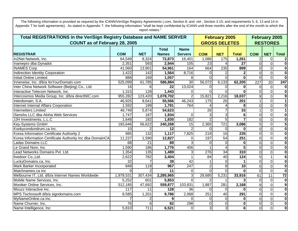| <b>Total REGISTRATIONS in the VeriSign Registry Database and NAME SERVER</b> |                 |                 |                 |                  |                  | <b>February 2005</b> |                         |                  | <b>February 2005</b> |                         |
|------------------------------------------------------------------------------|-----------------|-----------------|-----------------|------------------|------------------|----------------------|-------------------------|------------------|----------------------|-------------------------|
| <b>COUNT as of February 28, 2005</b>                                         |                 |                 |                 |                  |                  | <b>GROSS DELETES</b> |                         |                  | <b>RESTORES</b>      |                         |
|                                                                              |                 |                 | <b>Total</b>    | <b>Name</b>      |                  |                      |                         |                  |                      |                         |
| <b>REGISTRAR</b>                                                             | <b>COM</b>      | <b>NET</b>      | <b>Names</b>    | <b>Servers</b>   | <b>COM</b>       | <b>NET</b>           | <b>Total</b>            | <b>COM</b>       | <b>NET</b>           | <b>Total</b>            |
| In2Net Network, Inc.                                                         | 64,549          | 8,324           | 72,873          | 16,401           | 1,086            | 175                  | 1,261                   | $\overline{2}$   | 0                    | $\mathbf{2}$            |
| Inamepro dba Dynadot                                                         | 2,351           | 593             | 2,944           | 105              | 23               |                      | 27                      | $\Omega$         | $\overline{0}$       | $\pmb{0}$               |
| <b>INAMES Corp</b>                                                           | 41,060          | 13,901          | 54,961          | 164              | 664              | 235                  | 899                     | $\Omega$         | $\overline{0}$       | $\overline{\mathbf{0}}$ |
| Indirection Identity Corporation                                             | 1,422           | 142             | 1,564           | 8,716            | $\Omega$         | $\overline{2}$       | $\mathbf{2}$            | $\Omega$         | $\overline{0}$       | $\overline{\mathbf{0}}$ |
| Initial Online Limited                                                       | 888             | 169             | 1,057           | 8                | $\Omega$         | $\Omega$             | $\Omega$                | $\Omega$         | $\overline{0}$       | $\overline{\mathbf{0}}$ |
| Innerwise, Inc. d/b/a ItsYourDomain.com                                      | 525,099         | 61,785          | 586,884         | 30               | 56,072           | 6,133                | 62,205                  | $\overline{227}$ | 20                   | $\overline{247}$        |
| Inter China Network Software (Beijing) Co., Ltd.                             | 16              | 6               | 22              | 13,024           | $\Omega$         | $\Omega$             | 0                       | $\Omega$         | $\overline{0}$       | $\overline{\mathbf{0}}$ |
| Interactive Telecom Network, Inc.                                            | 1,315           | 128             | 1,443           | $\Omega$         | $\Omega$         | $\Omega$             | $\Omega$                | $\Omega$         | $\overline{0}$       | $\overline{\mathbf{0}}$ |
| Intercosmos Media Group, Inc. d/b/a directNIC.com                            | 955,282         | 123,420         | 1,078,702       |                  | 15,821           | 2,216                | 18,037                  | 9                | $\overline{0}$       | $\overline{9}$          |
| Interdomain, S.A.                                                            | 46,925          | 8,641           | 55,566          | 46,243           | $\overline{175}$ | 26                   | 201                     |                  | $\overline{0}$       | $\overline{1}$          |
| Internet Internal Affairs Corporation                                        | 1,592           | 199             | 1,791           | 764              |                  | 4                    | 8                       | ΩI               | $\overline{0}$       | $\overline{\mathbf{0}}$ |
| Internetters Limited                                                         | 48,749          | 5,874           | 54,623          |                  | 26               | $\overline{7}$       | 33                      |                  | $\overline{0}$       | $\overline{1}$          |
| iSenshu LLC dba Aloha Web Services                                           | 1,747           | 187             | 1,934           | $\overline{0}$   |                  | 3                    | 6                       | $\Omega$         | $\overline{0}$       | $\overline{\mathbf{0}}$ |
| JJH Investments, L.L.C                                                       | 1,648           | 182             | 1,830           | 182              |                  | $\overline{5}$       |                         | $\Omega$         | $\overline{0}$       | $\overline{\mathbf{0}}$ |
| <b>Key-Systems GmbH</b>                                                      | 183,646         | 56,622          | 240,268         | 15               | 2,365            | 721                  | 3,086                   | 5 <sup>1</sup>   | $\overline{0}$       | $\overline{\mathbf{5}}$ |
| Kookycondundrum.ca Inc.                                                      | $\overline{10}$ | $\overline{c}$  | $\overline{12}$ | $\overline{2}$   | $\Omega$         | $\mathbf 0$          | $\bf{0}$                | $\Omega$         | $\overline{0}$       | $\overline{\mathbf{0}}$ |
| Korea Information Certificate Authority 2                                    | 985             | 132             | 1,117           | 7,825            | $\overline{219}$ | $\overline{16}$      | 235                     | $\Omega$         | $\overline{0}$       | $\overline{\mathbf{0}}$ |
| Korea Information Certificate Authority Inc dba DomainCA.                    | 11,237          | 1,590           | 12,827          | $\Omega$         | 197              | 54                   | 251                     | $\Omega$         | $\overline{0}$       | $\overline{\mathbf{0}}$ |
| <b>Ladas Domains LLC</b>                                                     | 68              | 21              | 89              |                  | $\Omega$         | $\Omega$             | 0                       | $\Omega$         | $\overline{0}$       | $\overline{\mathbf{0}}$ |
| Le Grand Nom, Inc                                                            | 1,590           | 186             | 1,776           | 406              |                  |                      | $\overline{5}$          | οl               | $\overline{0}$       | $\overline{\mathbf{0}}$ |
| Lead Networks Domains Pvt. Ltd.                                              | 1,354           | $\frac{135}{ }$ | 1,489           | 3                | 276              | $\overline{34}$      | 310                     | $\overline{0}$   | $\overline{0}$       | $\mathbf 0$             |
| livedoor Co., Ltd.                                                           | 2,622           | 782             | 3,404           |                  | 84               | 40                   | 124                     | 5 <sup>1</sup>   | $\mathbf{1}$         | $\bf 6$                 |
| LuckyDomains.ca, Inc.                                                        | 32              | $\overline{7}$  | 39              | 42               |                  | $\mathbf 0$          | 1                       | $\overline{0}$   | $\overline{0}$       | $\pmb{0}$               |
| Mark Barker Incorporated                                                     | 848             | 119             | 967             | $\overline{247}$ |                  | 8                    | $\overline{10}$         | $\Omega$         | $\overline{0}$       | $\mathbf 0$             |
| Matchnames.ca Inc                                                            | 9               | $\overline{2}$  | $\overline{11}$ | $\Omega$         | $\Omega$         | $\Omega$             | $\Omega$                | $\overline{0}$   | $\overline{0}$       | $\overline{\mathbf{0}}$ |
| Melbourne IT, Ltd. d/b/a Internet Names Worldwide                            | 1,978,531       | 307,434         | 2,285,965       | 3                | 28,685           | 5,231                | 33,916                  | 61               | $\overline{11}$      | $\overline{72}$         |
| Mobile Name Services, Inc.                                                   | 5,252           | 601             | 5,853           | $\Omega$         |                  |                      | 3 <sup>1</sup>          | $\overline{0}$   | $\overline{0}$       | $\overline{\mathbf{0}}$ |
| Moniker Online Services, Inc.                                                | 512,185         | 47,692          | 559,877         | 103,831          | 1,887            | 281                  | 2,168                   | $\overline{9}$   | $\overline{0}$       | $\overline{9}$          |
| Mouzz Interactive Inc.                                                       | 117             | 11              | 128             | 36               | $\Omega$         | $\mathbf 0$          | $\Omega$                | $\overline{0}$   | $\overline{0}$       | $\overline{\mathbf{0}}$ |
| MPS Technosoft d/b/a signdomains.com                                         | 8,585           | 1,201           | 9,786           | 2,068            | 251              | $\overline{40}$      | 291                     | $\Omega$         | $\overline{0}$       | $\overline{\mathbf{0}}$ |
| MyNameOnline.ca Inc.                                                         |                 | 2               | 9               | $\Omega$         | $\Omega$         | $\overline{0}$       | $\bf{0}$                | $\Omega$         | $\overline{0}$       | $\mathbf 0$             |
| Name Churner, Inc.                                                           | 76              | 6               | 82              | 298              | $\Omega$         | $\overline{0}$       | $\mathbf{0}$            | $\overline{0}$   | $\overline{0}$       | $\overline{\mathbf{0}}$ |
| Name Intelligence, Inc.                                                      | 5,810           | 711             | 6,521           | $\Omega$         | 3                | 3                    | $\overline{\mathbf{6}}$ | 0                | $\overline{0}$       | $\overline{\mathbf{0}}$ |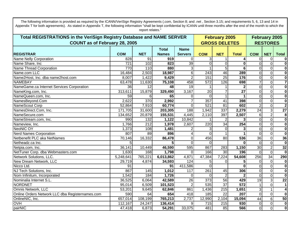| Total REGISTRATIONS in the VeriSign Registry Database and NAME SERVER |                  |                  |              |                  |                  | <b>February 2005</b> |                         |                | February 2005   |                         |
|-----------------------------------------------------------------------|------------------|------------------|--------------|------------------|------------------|----------------------|-------------------------|----------------|-----------------|-------------------------|
| <b>COUNT as of February 28, 2005</b>                                  |                  |                  |              |                  |                  | <b>GROSS DELETES</b> |                         |                | <b>RESTORES</b> |                         |
|                                                                       |                  |                  | <b>Total</b> | <b>Name</b>      |                  |                      |                         |                |                 |                         |
| <b>REGISTRAR</b>                                                      | <b>COM</b>       | <b>NET</b>       | <b>Names</b> | <b>Servers</b>   | <b>COM</b>       | <b>NET</b>           | <b>Total</b>            | <b>COM</b>     | <b>NET</b>      | <b>Total</b>            |
| Name Nelly Corporation                                                | $\overline{828}$ | $\overline{91}$  | 919          | $\Omega$         | 3                |                      |                         | $\overline{0}$ | $\mathbf 0$     | $\mathbf 0$             |
| Name Share, Inc.                                                      | $\overline{721}$ | 102              | 823          | $\overline{39}$  | $\Omega$         | $\Omega$             | $\bf{0}$                | $\overline{0}$ | $\mathbf 0$     | $\mathbf 0$             |
| Name Thread Corporation                                               | 770              | 110              | 880          | $\overline{3}$   |                  | $\overline{5}$       | 6                       | $\Omega$       | $\overline{0}$  | $\mathbf 0$             |
| Name.com LLC                                                          | 16,484           | 2,503            | 18,987       | 6 <sup>1</sup>   | 243              | 46                   | 289                     | $\Omega$       | $\mathbf 0$     | $\mathbf 0$             |
| Name2Host, Inc. dba name2host.com                                     | 8,007            | 1,422            | 9,429        | $\overline{2}$   | 151              | $\overline{25}$      | 176                     | 0              | $\pmb{0}$       | $\pmb{0}$               |
| <b>NAMEBAY</b>                                                        | 63,478           | 11,630           | 75,108       | 458              | 572              | 126                  | 698                     |                | $\overline{0}$  | $\overline{\mathbf{7}}$ |
| NameGame.ca Internet Services Corporation                             | $\overline{36}$  | 12               | 48           | 19               |                  |                      | $\overline{\mathbf{2}}$ | 0              | $\mathbf 0$     | $\pmb{0}$               |
| NameKing.com, Inc.                                                    | 313,611          | 15,879           | 329,490      | 3,167            | 20               | $\overline{7}$       | $\overline{27}$         | $\Omega$       | $\overline{0}$  | $\mathbf 0$             |
| NameQueen.com, Inc.                                                   | 59               | 6                | 65           | $\Omega$         | $\Omega$         | 1                    |                         | $\Omega$       | $\mathbf 0$     | $\mathbf 0$             |
| NamesBeyond.Com                                                       | 2,622            | 370              | 2,992        | $\overline{7}$   | 357              | $\overline{41}$      | 398                     | $\overline{0}$ | $\overline{0}$  | $\pmb{0}$               |
| NameScout Corp                                                        | 52,864           | 7,910            | 60,774       | $\Omega$         | 521              | $\overline{81}$      | 602                     | $\overline{2}$ | $\overline{0}$  | $\mathbf 2$             |
| NamesDirect.Com, Inc.                                                 | 171,705          | 31,600           | 203,305      | 188              | 1,942            | 337                  | 2,279                   | 24             | دن              | $\overline{27}$         |
| NameSecure.com                                                        | 134, 652         | 20,879           | 155,531      | 4,445            | 2,110            | 397                  | 2,507                   | 6 <sup>1</sup> | $\overline{2}$  | $\overline{\mathbf{8}}$ |
| NameStream.com, Inc.                                                  | 990              | 132              | 1,122        | 10,842           |                  | $\overline{2}$       | 3                       | $\Omega$       | $\mathbf 0$     | $\overline{\mathbf{0}}$ |
| Nameview, Inc.                                                        | 1,766            | $\overline{212}$ | 1,978        | 2,607            | 220              | 34                   | 254                     | ΩI             | $\pmb{0}$       | $\mathbf 0$             |
| <b>NeoNIC OY</b>                                                      | 1,373            | 108              | 1,481        |                  |                  | $\overline{0}$       | 3                       | $\Omega$       | $\pmb{0}$       | $\overline{\mathbf{0}}$ |
| <b>Nerd Names Corporation</b>                                         | 807              | 89               | 896          |                  | $\Omega$         |                      |                         | $\Omega$       | $\overline{0}$  | $\mathbf 0$             |
| Netbenefit PLC aka NetNames                                           | 70,146           | 16,332           | 86,478       | $\Omega$         | 456              | $\overline{80}$      | 536                     | 36             | $\overline{0}$  | 36                      |
| Netheadz.ca Inc.                                                      | 5                |                  |              | $\Omega$         | ΩI               |                      | $\Omega$                | $\Omega$       | $\overline{0}$  | $\mathbf 0$             |
| Netpia.com, Inc.                                                      | 36,141           | 10,449           | 46,590       | 595              | 867              | 283                  | 1,150                   | 30             | $\overline{2}$  | 32                      |
| NetTuner Corp. dba Webmasters.com                                     | 1,630            | 168              | 1,798        | $\Omega$         | 166              | 30                   | 196                     | $\Omega$       | $\mathbf 0$     | $\mathbf 0$             |
| Network Solutions, LLC.                                               | 5,248,641        | 765,221          | 6,013,862    | 4,871            | 47,384           | 7,224                | $\overline{54,}608$     | 256            | $\overline{34}$ | 290                     |
| New Dream Network, LLC                                                | 29,719           | 4,874            | 34,593       | 124              | 51               | $\Omega$             | 5                       | $\Omega$       | $\mathbf 0$     | $\mathbf 0$             |
| Nicco Ltd.                                                            | 91               |                  | 91           | 411,586          | $\Omega$         |                      | $\bf{0}$                | $\Omega$       | $\overline{O}$  | $\overline{\mathbf{0}}$ |
| NJ Tech Solutions, Inc.                                               | 867              | 145              | 1,012        | $\overline{117}$ | 261              | 45                   | 306                     | $\Omega$       | $\overline{0}$  | $\pmb{0}$               |
| Nom Infinitum, Incorporated                                           | 1,542            | 184              | 1,726        | $\Omega$         | $\Omega$         | $\overline{2}$       | $\overline{2}$          | $\overline{0}$ | $\overline{0}$  | $\overline{\mathbf{0}}$ |
| Nominalia Internet S.L.                                               | 36,525           | 6,064            | 42,589       | 26               | $\overline{373}$ | $\overline{56}$      | 429                     | 19             | $\mathbf{3}$    | $\overline{22}$         |
| NORDNET                                                               | 95,014           | 6,509            | 101,523      | $\mathcal{P}$    | 535              | $\overline{37}$      | $\overline{572}$        |                | $\overline{0}$  | $\mathbf 1$             |
| Omnis Network, LLC                                                    | 53,201           | 9,645            | 62,846       | 861              | 1,436            | $\overline{215}$     | 1,651                   | $\overline{3}$ | $\mathbf{1}$    | $\overline{\mathbf{4}}$ |
| Online Orders Network LLC dba Registernames.com                       | 590              | 64               | 654          | 418              | 185              | 22                   | 207                     | $\Omega$       | $\overline{0}$  | $\mathbf 0$             |
| OnlineNIC, Inc.                                                       | 657,014          | 108,199          | 765,213      | 2,737            | 12,990           | 2,104                | 15,094                  | 44             | 6               | 50                      |
| <b>OVH</b>                                                            | 112,167          | 24,247           | 136,414      | 9                | 715              | 215                  | 930                     | $\overline{0}$ | $\overline{0}$  | $\overline{\mathbf{0}}$ |
| pairNIC                                                               | 47,418           | 6,873            | 54,291       | 33,075           | 481              | $\overline{85}$      | 566                     | οl             | $\overline{0}$  | $\overline{\mathbf{0}}$ |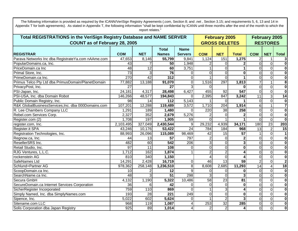| Total REGISTRATIONS in the VeriSign Registry Database and NAME SERVER |                 |                 |                  |                | <b>February 2005</b> |                      |                         | February 2005   |                         |                         |
|-----------------------------------------------------------------------|-----------------|-----------------|------------------|----------------|----------------------|----------------------|-------------------------|-----------------|-------------------------|-------------------------|
| <b>COUNT as of February 28, 2005</b>                                  |                 |                 |                  |                |                      | <b>GROSS DELETES</b> |                         |                 | <b>RESTORES</b>         |                         |
|                                                                       |                 |                 | <b>Total</b>     | <b>Name</b>    |                      |                      |                         |                 |                         |                         |
| <b>REGISTRAR</b>                                                      | <b>COM</b>      | <b>NET</b>      | <b>Names</b>     | <b>Servers</b> | <b>COM</b>           | <b>NET</b>           | <b>Total</b>            | <b>COM</b>      | <b>NET</b>              | <b>Total</b>            |
| Parava Networks Inc dba Registrate Ya.com nAAme.com                   | 47,653          | 8,146           | 55,799           | 9,841          | 1,124                | 151                  | 1,275                   | 2               |                         | $\mathbf{3}$            |
| PopularDomains.ca, Inc.                                               | 43              |                 | 50               | 1,948          |                      | $\Omega$             | 2                       | $\Omega$        | $\mathbf 0$             | $\overline{\mathbf{0}}$ |
| PriceDomain.ca Inc                                                    | 48              | $\overline{12}$ | 60               | 3,751          |                      | $\Omega$             |                         | $\Omega$        | $\overline{0}$          | $\overline{\mathbf{0}}$ |
| Primal Store, Inc.                                                    | $\overline{73}$ | 3               | $\overline{76}$  | $\Omega$       | $\Omega$             | $\overline{0}$       | $\bf{0}$                | 0               | $\overline{0}$          | $\overline{\mathbf{0}}$ |
| PrimeDomain.ca Inc.                                                   | 270             | 42              | 312              | $\Omega$       |                      | $\Omega$             |                         | 0               | $\pmb{0}$               | $\overline{\mathbf{0}}$ |
| Primus Telco Pty Ltd dba PrimusDomain/PlanetDomain                    | 77,882          | 13,188          | 91,070           | $\Omega$       | 1,516                | 297                  | 1,813                   |                 |                         | $\overline{\mathbf{8}}$ |
| PrivacyPost, Inc.                                                     | $\overline{27}$ |                 | $\overline{27}$  |                | $\Omega$             |                      | $\mathbf{0}$            | $\Omega$        | $\overline{O}$          | $\overline{\mathbf{0}}$ |
| PSI-Japan, Inc.                                                       | 24,181          | 4,317           | 28,498           | 6,427          | 455                  | 92                   | 547                     | $\Omega$        | $\overline{O}$          | $\overline{\mathbf{0}}$ |
| PSI-USA, Inc. dba Domain Robot                                        | 146,266         | 48,577          | 194,843          | $\Omega$       | 2,395                | 847                  | 3,242                   | 11              | $\overline{3}$          | $\overline{14}$         |
| Public Domain Registry, Inc.                                          | 98              | 14              | 112              | 5,143          |                      | $\Omega$             |                         | $\Omega$        | $\overline{0}$          | $\overline{\mathbf{0}}$ |
| R&K GlobalBusinessServices, Inc. dba 000Domains.com                   | 107,201         | 12,288          | 119,489          | 3,572          | 1,710                | 204                  | 1,914                   | 6 <sup>1</sup>  |                         | $\overline{\mathbf{7}}$ |
| R. Lee Chambers Company LLC                                           | 1,291           | 189             | 1,480            | $\Omega$       | 220                  | $\overline{38}$      | 258                     | $\Omega$        | $\overline{0}$          | $\overline{\mathbf{0}}$ |
| Rebel.com Services Corp.                                              | 2,327           | 352             | 2,679            | 5,276          |                      | $\Omega$             | $\mathbf{2}$            | $\Omega$        | $\overline{0}$          | $\overline{\mathbf{0}}$ |
| Register.com (2)                                                      | 1,708           | 197             | 1,905            | 59             | $\Omega$             |                      |                         | $\Omega$        | $\mathbf 0$             | $\overline{\mathbf{0}}$ |
| register.com, Inc.                                                    | 2,103,495       | 327,049         | 2,430,544        | 9              | 29,232               | 4,939                | 34,171                  | 180             | 23                      | 203                     |
| Register.it SPA                                                       | 43,246          | 10,176          | 53,422           | 24             | 784                  | 184                  | 968                     | $\overline{13}$ | $\overline{2}$          | 15                      |
| Registration Technologies, Inc.                                       | 88,993          | 26,096          | 115,089          | 98,469         | 42                   | 15                   | $\overline{57}$         |                 | $\mathbf 0$             | $\mathbf 1$             |
| Regnow.ca, Inc.                                                       | 44              | 13              | 57               | 797            |                      | $\overline{0}$       | $\overline{\mathbf{2}}$ | $\Omega$        | $\mathbf 0$             | $\mathbf 0$             |
| ResellerSRS Inc.                                                      | 482             | 60              | 542              | 206            | 3                    | $\overline{0}$       | $\overline{\mathbf{3}}$ | $\Omega$        | $\mathbf 0$             | $\mathbf 0$             |
| Retail Studio, Inc.                                                   | $\overline{97}$ | $\overline{11}$ | 108              | $\Omega$       | $\overline{0}$       | $\overline{0}$       | $\mathbf 0$             | 0               | $\mathbf 0$             | $\mathbf 0$             |
| RJG Ventures, L.L.C.                                                  | 1,712           | 162             | 1,874            |                | $\mathcal{P}$        | $\overline{2}$       |                         | ΩI              | $\mathbf 0$             | $\pmb{0}$               |
| rockenstein AG                                                        | 810             | 340             | 1,150            |                |                      | $\overline{0}$       |                         | $\Omega$        | $\mathbf 0$             | $\pmb{0}$               |
| SafeNames Ltd                                                         | 14,291          | 2,428           | 16,719           | $\Omega$       | 46                   | 13                   | 59                      | $\overline{2}$  | $\mathbf 0$             | $\overline{\mathbf{2}}$ |
| Schlund+Partner AG                                                    | 978,362         | 258,148         | 1,236,510        | 8 <sup>1</sup> | 8,608                | 2,685                | 11,293                  | 14              | $\overline{\mathbf{4}}$ | $\overline{18}$         |
| ScoopDomain.ca Inc.                                                   | 10              | 2               | 12               | $\mathsf{Q}$   | $\Omega$             | $\mathbf 0$          | 0                       | $\Omega$        | $\pmb{0}$               | $\mathbf 0$             |
| SearchName.ca Inc.                                                    | $\overline{48}$ | $\overline{3}$  | 51               | 298            | 3                    | $\Omega$             | $\overline{3}$          | $\Omega$        | $\mathbf 0$             | $\mathbf 0$             |
| Secura GmbH                                                           | 4,132           | 1,190           | 5,322            | 10,486         | 58                   | $\overline{23}$      | $\overline{81}$         | $\Omega$        | $\pmb{0}$               | $\mathbf 0$             |
| SecureDomain.ca Internet Services Corporation                         | $\overline{36}$ | 6               | 42               | $\Omega$       | $\Omega$             | $\mathbf 0$          | $\mathbf 0$             | $\Omega$        | $\overline{0}$          | $\mathbf 0$             |
| SicherRegister Incorporated                                           | 759             | 110             | 869              | $\Omega$       |                      | 3                    | 4                       | $\Omega$        | $\overline{0}$          | $\mathbf 0$             |
| Simply Named, Inc. dba SimplyNames.com                                | 193             | $\overline{28}$ | $\overline{221}$ | 249            | $\Omega$             | $\overline{0}$       | $\mathbf 0$             | $\Omega$        | $\overline{0}$          | $\mathbf 0$             |
| Sipence, Inc.                                                         | 5,022           | 602             | 5,624            | $\Omega$       |                      | $\overline{2}$       | $\mathbf{3}$            | ΩI              | $\overline{O}$          | $\mathbf 0$             |
| Sitename.com LLC                                                      | 968             | 119             | 1,087            |                | 253                  | $\overline{32}$      | 285                     | $\Omega$        | $\overline{O}$          | $\pmb{0}$               |
| Solis Corporation dba Japan Registry                                  | 925             | 89              | 1,014            |                |                      | $\overline{2}$       | 4                       | 0               | $\overline{0}$          | $\overline{\mathbf{0}}$ |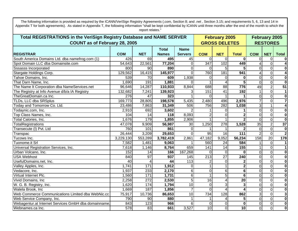| Total REGISTRATIONS in the VeriSign Registry Database and NAME SERVER |                 |                  |                  |                 |                  | <b>February 2005</b> |                  | February 2005  |                 |                         |
|-----------------------------------------------------------------------|-----------------|------------------|------------------|-----------------|------------------|----------------------|------------------|----------------|-----------------|-------------------------|
| <b>COUNT as of February 28, 2005</b>                                  |                 |                  |                  |                 |                  | <b>GROSS DELETES</b> |                  |                | <b>RESTORES</b> |                         |
|                                                                       |                 |                  | <b>Total</b>     | <b>Name</b>     |                  |                      |                  |                |                 |                         |
| <b>REGISTRAR</b>                                                      | <b>COM</b>      | <b>NET</b>       | <b>Names</b>     | <b>Servers</b>  | <b>COM</b>       | <b>NET</b>           | <b>Total</b>     | <b>COM</b>     | <b>NET</b>      | <b>Total</b>            |
| South America Domains Ltd. dba namefrog.com (1)                       | 426             | 69               | 495              | 45              | $\Omega$         | $\Omega$             | 0                | $\mathbf 0$    | $\mathbf 0$     | $\bf{0}$                |
| Spot Domain LLC dba Domainsite.com                                    | 54,643          | 22,561           | 77,204           | $\Omega$        | $\overline{347}$ | 102                  | 449              | 4              | $\mathbf 0$     | $\overline{\mathbf{4}}$ |
| <b>Sssasss Incorporated</b>                                           | 800             | 90               | 890              | 0               | $\Omega$         | 5                    | 5                | $\Omega$       | $\pmb{0}$       | $\bf{0}$                |
| Stargate Holdings Corp.                                               | 129,562         | 16,415           | 145,977          |                 | 760              | 181                  | 941              | 4              | $\mathbf 0$     | $\overline{\mathbf{4}}$ |
| Tahoe Domains, Inc.                                                   | 539             | 70               | 609              | 1,938           |                  | $\Omega$             | $\bf{0}$         | $\overline{0}$ | $\overline{0}$  | $\overline{\mathbf{0}}$ |
| That Darn Name, Inc.                                                  | 1,690           | 191              | 1,881            |                 |                  | 4                    | 5                | $\overline{0}$ | $\mathbf 0$     | $\overline{\mathbf{0}}$ |
| The Name It Corporation dba NameServices.net                          | 96,646          | 14,287           | 110,933          | 8,844           | 688              | $\overline{88}$      | 776              | 49             | $\overline{2}$  | 51                      |
| The Registry at Info Avenue d/b/a IA Registry                         | 132,682         | 7,241            | 139,923          |                 | 151              | $\overline{41}$      | 192              |                | $\mathbf 0$     | $\overline{1}$          |
| TheGreatDomain.ca Inc.                                                | 276             | 47               | 323              |                 |                  |                      |                  | $\overline{0}$ | $\mathbf 0$     | $\overline{\mathbf{0}}$ |
| TLDs, LLC dba SRSplus                                                 | 169,773         | 28,805           | 198,578          | 5,435           | 2,480            | 496                  | 2,976            |                | $\mathbf 0$     | $\overline{\mathbf{7}}$ |
| Today and Tomorrow Co. Ltd.                                           | 23,486          | 7,863            | 31,349           | 506             | 756              | 282                  | 1,038            | 3              |                 | $\overline{4}$          |
| Todaynic.com, Inc.                                                    | 2,910           | 692              | 3,602            |                 |                  | $\Omega$             |                  | $\overline{0}$ | $\mathbf 0$     | $\overline{\mathbf{0}}$ |
| Top Class Names, Inc.                                                 | 104             | $\overline{14}$  | $\overline{118}$ | 8,093           |                  | $\overline{0}$       | 2                | $\mathbf 0$    | $\mathbf 0$     | $\overline{\mathbf{0}}$ |
| Total Calories, Inc.                                                  | 1,676           | 179              | 1,855            | 2,906           |                  |                      |                  | $\overline{0}$ | $\overline{0}$  | $\overline{\mathbf{0}}$ |
| <b>TotalRegistrations</b>                                             | 47,078          | 9,909            | 56,987           | $\overline{30}$ | 1,250            | 278                  | 1,528            | 35             | $\overline{2}$  | $\overline{37}$         |
| Transecute (I) Pvt. Ltd                                               | 760             | 101              | 861              | 0               |                  |                      |                  | $\overline{0}$ | $\mathbf 0$     | $\mathbf 0$             |
| Transpac                                                              | 26,444          | 3,209            | 29,653           |                 | 95               | 16                   | $\overline{111}$ | $\overline{2}$ | $\Omega$        | $\overline{2}$          |
| Tucows Inc.                                                           | 3,229,130       | 553,289          | 3,782,419        | 2,861           | 47,182           | 9,052                | 56,234           | 158            | $\overline{20}$ | 178                     |
| Tuonome.it Srl                                                        | 7,582           | 1,481            | 9,063            |                 | 560              | 24                   | 584              |                | $\mathbf 0$     | 1                       |
| Universal Registration Services, Inc.                                 | 7,618           | 1,146            | 8,764            | 659             | 141              | 14                   | $\overline{155}$ |                | $\overline{0}$  | $\mathbf 1$             |
| Urban Volcano, Inc.                                                   | 152             | 14               | 166              | 167,268         |                  | $\overline{0}$       | $\bf{0}$         | $\overline{0}$ | $\overline{0}$  | $\bf{0}$                |
| <b>USA Webhost</b>                                                    | 840             | $\overline{97}$  | 937              | 145             | 213              | $\overline{27}$      | 240              | $\mathbf 0$    | $\mathbf 0$     | $\mathbf 0$             |
| UsefulDomains.net, Inc.                                               | $\overline{40}$ | 4                | 44               | 113             |                  | $\overline{0}$       | $\mathbf 2$      | $\mathbf 0$    | $\mathbf 0$     | $\bf{0}$                |
| Valley Apples, Inc.                                                   | 1,741           | $\overline{171}$ | 1,912            | $\Omega$        |                  | $\mathbf{1}$         | $\overline{2}$   | $\overline{0}$ | $\mathbf 0$     | $\bf{0}$                |
| Vedacore, Inc.                                                        | 1,937           | 233              | 2,170            | 6               | $\Omega$         | 6                    | $6\phantom{1}$   | $\mathbf 0$    | $\mathbf 0$     | $\bf{0}$                |
| Virtual Internet Plc.                                                 | 1,560           | $\overline{171}$ | 1,731            | 6               |                  | 5                    | $6\phantom{1}$   | $\mathbf 0$    | $\mathbf 0$     | $\bf{0}$                |
| Vivid Domains, Inc                                                    | 2,258           | 272              | 2,530            | 5               | 16               | $\overline{4}$       | $\overline{20}$  | $\overline{0}$ | $\mathbf 0$     | $\bf{0}$                |
| W. G. B. Registry, Inc.                                               | 1,620           | 174              | 1,794            | 10              | $\Omega$         | 3                    | 3                | $\overline{0}$ | $\overline{0}$  | $\bf{0}$                |
| Walela Brook, Inc                                                     | 1,669           | 187              | 1,856            | $\overline{7}$  | $\Omega$         | $\overline{4}$       |                  | $\mathbf 0$    | $\mathbf 0$     | $\bf{0}$                |
| Web Commerce Communications Limited dba WebNic.cc                     | 75,917          | 10,736           | 86,653           | 10              | 734              | 128                  | 862              | ω              | $\overline{0}$  | 3                       |
| Web Service Company, Inc.                                             | 790             | 90               | 880              |                 |                  | 4                    | 5                | $\Omega$       | $\mathbf 0$     | 0                       |
| Webagentur.at Internet Services GmbH dba domainname.                  | 843             | 123              | 966              | 6               | 0                | $\mathbf 0$          | $\bf{0}$         | $\mathbf 0$    | $\mathbf 0$     | $\bf{0}$                |
| Webnames.ca Inc.                                                      | 578             | 83               | 661              | 3,527           | 10               | $\overline{0}$       | 10               | $\mathbf 0$    | $\mathbf 0$     | $\bf{0}$                |